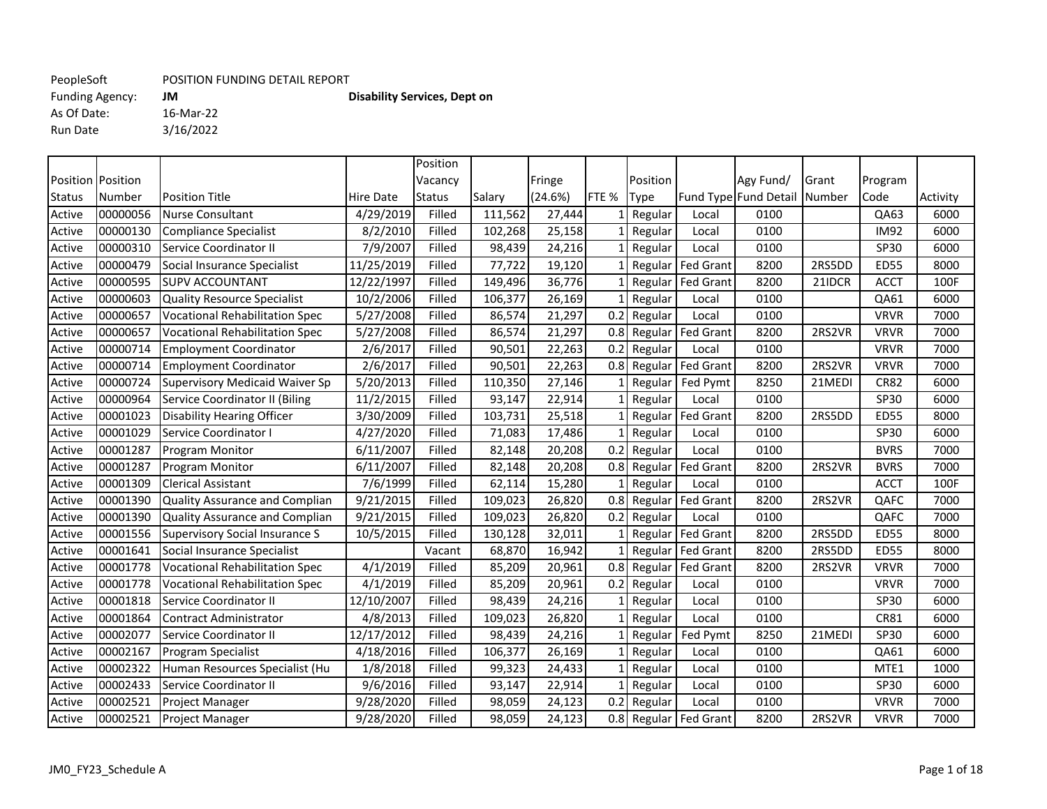As Of Date: 16-Mar-22 Run Date 3/16/2022

Funding Agency: **JM Disability Services, Dept on**

Position Position Status Number Position Title **Hire Date** Position Vacancy Status Salary Fringe (24.6%) FTE % Position Type Fund Type Fund Detail Agy Fund/ Grant Number Program Code Activity Active 00000056 Nurse Consultant  $\vert$  4/29/2019 Filled 111,562 27,444 1 Regular Local 0100  $\vert$  QA63 6000 Active 00000130 Compliance Specialist 18/2/2010 Filled 102,268 25,158 1 Regular Local 0100 | IM92 6000 Active 00000310 Service Coordinator II | 7/9/2007 Filled | 98,439 24,216 | 1 Regular Local | 0100 | SP30 | 6000 Active 00000479 Social Insurance Specialist (11/25/2019 Filled | 77,722 19,120 1 Regular Fed Grant 8200 2RS5DD ED55 8000 Active |00000595 |SUPV\_ACCOUNTANT | |12/22/1997| Filled | 149,496| 36,776| 1| Regular | Fed Grant | 8200 | 21IDCR | ACCT | 100F Active 00000603 Quality Resource Specialist 10/2/2006 Filled 106,377 26,169 1 Regular Local 0100 QA61 6000 Active 00000657 Vocational Rehabilitation Spec | 5/27/2008 | Filled | 86,574 21,297 | 0.2 Regular | Local | 0100 | | | VRVR | 7000 Active |00000657 |Vocational Rehabilitation Spec | 5/27/2008| Filled | 86,574 | 21,297 | 0.8 Regular | Fed Grant | 8200 | 2RS2VR | VRVR | 7000 Active 00000714 Employment Coordinator | 2/6/2017 Filled | 90,501 22,263 0.2 Regular |Local | 0100 | | | VRVR | 7000 Active 00000714 Employment Coordinator 2/6/2017 Filled 90,501 22,263 0.8 Regular Fed Grant 8200 2RS2VR VRVR 7000 Active 100000724 Supervisory Medicaid Waiver Sp | 5/20/2013 | Filled | 110,350 | 27,146 | 1 Regular Fed Pymt | 8250 | 21MEDI | CR82 | 6000 Active 00000964 Service Coordinator II (Biling \ | 11/2/2015 | Filled | 93,147 | 22,914 | 1 Regular | Local | 0100 | | | SP30 | 6000 Active 00001023 Disability Hearing Officer  $\vert$  3/30/2009 Filled 103,731 25,518 1 Regular Fed Grant 8200 2RS5DD ED55 8000 Active 00001029 Service Coordinator I | 4/27/2020 Filled | 71,083 17,486 | 1 Regular Local | 0100 | | | SP30 | 6000 Active |00001287 |Program Monitor | 6/11/2007| Filled | 82,148| 20,208| 0.2| Regular | Local | 0100 | | BVRS | 7000 Active 00001287 Program Monitor 6/11/2007 Filled 82,148 20,208 0.8 Regular Fed Grant 8200 2RS2VR BVRS 7000 Active 00001309 Clerical Assistant 100F | 7/6/1999 Filled | 62,114 15,280 | 1 Regular | Local | 0100 | | | ACCT | 100F Active (00001390 Quality Assurance and Complian | 9/21/2015 | Filled | 109,023 | 26,820 | Regular Fed Grant | 8200 | 2RS2VR | QAFC | 7000 Active 00001390 Quality Assurance and Complian | 9/21/2015 | Filled | 109,023 | 26,820 | 0.2 Regular | Local | 0100 | | | QAFC | 7000 Active (00001556 Supervisory Social Insurance S (2015) Eilled (2016) 130,128 32,011 21 Regular Fed Grant (2000 2RS5DD | ED55 (2000) Active (00001641 Social Insurance Specialist Yacant | Vacant | 68,870 | 16,942 | 1 Regular Fed Grant | 8200 | 2RS5DD | ED55 | 8000 Active (00001778 Vocational Rehabilitation Spec (4/1/2019 Filled 85,209 20,961 0.8 Regular Fed Grant 8200 2RS2VR VRVR 7000 Active 00001778 Vocational Rehabilitation Spec | 4/1/2019 Filled | 85,209 20,961 0.2 Regular Local | 0100 | | VRVR | 7000 Active 00001818 Service Coordinator II | 12/10/2007 Filled | 98,439 24,216 | 1 Regular Local | 0100 | | | SP30 | 6000 Active 00001864 Contract Administrator 1 4/8/2013 Filled 109,023 26,820 1 Regular Local 0100 1 CR81 6000 Active 00002077 Service Coordinator II 12/17/2012 Filled 98,439 24,216 1 Regular Fed Pymt 8250 21MEDI SP30 6000 Active 00002167 Program Specialist 4/18/2016 Filled 106,377 26,169 1 Regular Local 0100 QA61 6000 Active 00002322 Human Resources Specialist (Hu | 1/8/2018 | Filled | 99,323 24,433 | 1 Regular | Local | 0100 | MTE1 | 1000 Active 00002433 Service Coordinator II | 9/6/2016 Filled | 93,147 | 22,914 | 1 Regular | Local | 0100 | | | SP30 | 6000 Active 00002521 Project Manager | 9/28/2020 Filled | 98,059 24,123 0.2 Regular Local | 0100 | | VRVR | 7000 Active |00002521 |Project Manager | 9/28/2020| Filled | 98,059| 24,123| 0.8| Regular | Fed Grant | 8200 | 2RS2VR | VRVR | 7000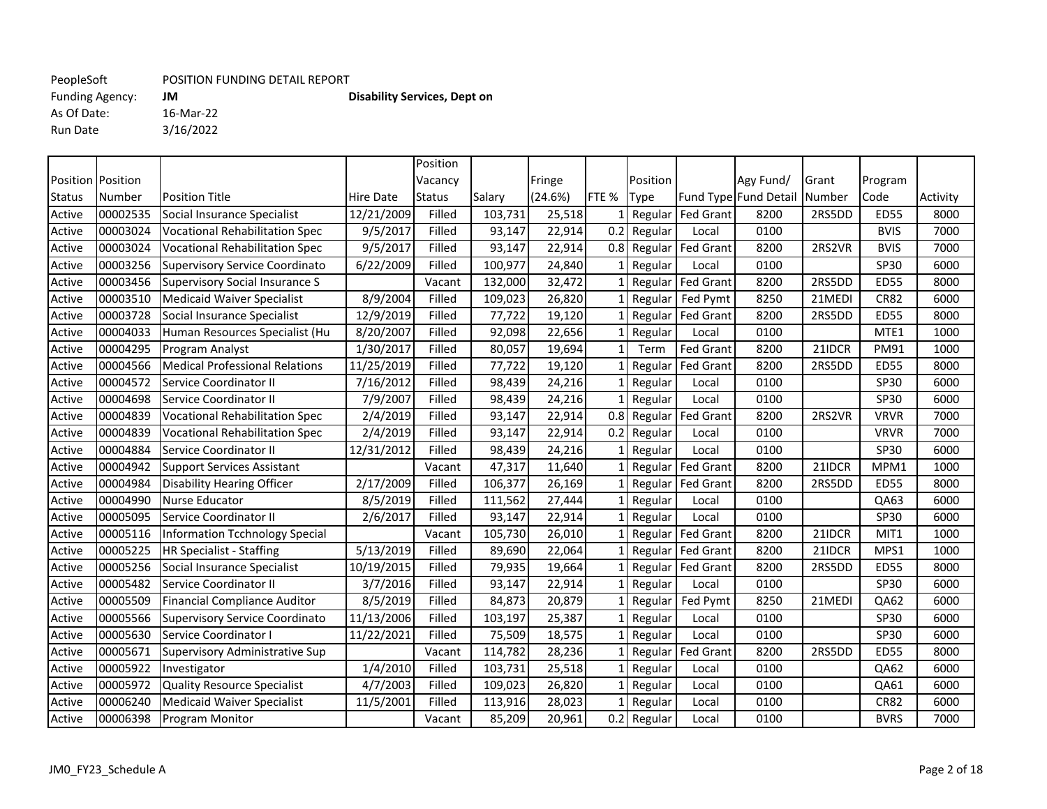As Of Date: 16-Mar-22 Run Date 3/16/2022

Funding Agency: **JM Disability Services, Dept on**

Position Position Status Number Position Title **Hire Date** Position Vacancy Status Salary Fringe (24.6%) FTE % Position Type Fund Type Fund Detail Agy Fund/ Grant Number Program Code Activity Active 00002535 Social Insurance Specialist 12/21/2009 Filled 103,731 25,518 1 Regular Fed Grant 8200 2RS5DD ED55 8000 Active 00003024 Vocational Rehabilitation Spec | 9/5/2017 Filled | 93,147 22,914 0.2 Regular Local | 0100 | | BVIS | 7000 Active 00003024 Vocational Rehabilitation Spec 9/5/2017 Filled 93,147 22,914 0.8 Regular Fed Grant 8200 2RS2VR BVIS 7000 Active 00003256 Supervisory Service Coordinato | 6/22/2009 Filled | 100,977 24,840 | 1 Regular Local | 0100 | SP30 | 6000 Active (00003456 Supervisory Social Insurance S (Vacant | 132,000 32,472 | 1 Regular Fed Grant | 8200 | 2RS5DD | ED55 | 8000 Active 00003510 Medicaid Waiver Specialist | 8/9/2004 Filled | 109,023 | 26,820 | 1 Regular Fed Pymt | 8250 | 21MEDI | CR82 | 6000 Active 00003728 Social Insurance Specialist 12/9/2019 Filled 77,722 19,120 1 Regular Fed Grant 8200 2RS5DD ED55 8000 Active |00004033 |Human Resources Specialist (Hu | 8/20/2007| Filled | 92,098| 22,656| 1| Regular | Local | 0100 | | | MTE1 | 1000 Active 00004295 Program Analyst 1/30/2017 Filled 80,057 19,694 1 Term Fed Grant 8200 21IDCR PM91 1000 Active 00004566 Medical Professional Relations 11/25/2019 Filled 77,722 19,120 1 Regular Fed Grant 8200 2RS5DD ED55 8000 Active 00004572 Service Coordinator II | 7/16/2012 Filled | 98,439 24,216 | 1 Regular Local | 0100 | | | SP30 | 6000 Active 00004698 Service Coordinator II | 7/9/2007 Filled | 98,439 24,216 | 1 Regular Local | 0100 | | | SP30 | 6000 Active 00004839 Vocational Rehabilitation Spec 2/4/2019 Filled 93,147 22,914 0.8 Regular Fed Grant 8200 2RS2VR VRVR 7000 Active 100004839 Vocational Rehabilitation Spec 1 2/4/2019 Filled 1 93,147 22,914 0.2 Regular Local 1 0100 VRVR 7000 Active 00004884 Service Coordinator II | 12/31/2012 Filled | 98,439 24,216 | 1 Regular | Local | 0100 | | | SP30 | 6000 Active 100004942 Support Services Assistant 1 1000 1 Vacant 1 47,317 11,640 1 Regular Fed Grant 8200 21IDCR MPM1 1000 Active 100004984 Disability Hearing Officer  $\vert$  2/17/2009 Filled 106,377 26,169 1 Regular Fed Grant 8200 2RS5DD ED55 8000 Active 00004990 Nurse\_Educator | 8/5/2019 Filled 111,562 27,444 | 1 Regular Local | 0100 | | QA63 | 6000 Active 00005095 Service Coordinator II | 2/6/2017 Filled | 93,147 | 22,914 | 1 Regular | Local | 0100 | | | SP30 | 6000 Active (00005116 |Information Tcchnology Special | | | Vacant | 105,730 | 26,010 | 1 Regular Fed Grant | 8200 | 21IDCR | MIT1 | 1000 Active 00005225 HR Specialist - Staffing 5/13/2019 Filled 89,690 22,064 1 Regular Fed Grant 8200 21IDCR MPS1 1000 Active 00005256 Social Insurance Specialist 10/19/2015 Filled 79,935 19,664 1 Regular Fed Grant 8200 2RS5DD ED55 8000 Active 00005482 Service Coordinator II | 3/7/2016 Filled | 93,147 | 22,914 | 1 Regular | Local | 0100 | | | SP30 | 6000 Active 00005509 Financial Compliance Auditor | 8/5/2019 Filled | 84,873 20,879 1 Regular Fed Pymt | 8250 21MEDI QA62 | 6000 Active 00005566 Supervisory Service Coordinato 11/13/2006 Filled 103,197 25,387 1 Regular Local 0100 SP30 SP30 6000 Active 00005630 Service Coordinator I 11/22/2021 Filled 1 75,509 18,575 1 Regular Local 1 0100 1 | SP30 6000 Active (00005671 Supervisory Administrative Sup | vacant | 114,782 | 28,236 | 1 Regular Fed Grant | 8200 | 2RS5DD | ED55 | 8000 Active |00005922 |Investigator | 1/4/2010 Filled | 103,731 25,518 | 1 Regular Local | 0100 | | QA62 | 6000 Active 00005972 Quality Resource Specialist | 4/7/2003 Filled | 109,023 26,820 | 1 Regular Local | 0100 | | | QA61 | 6000 Active 00006240 |Medicaid Waiver Specialist | 11/5/2001 | Filled | 113,916 | 28,023 | 1 Regular | Local | 0100 | | CR82 | 6000 Active |00006398 |Program Monitor | Vacant | 85,209 20,961 0.2 Regular |Local | 0100 | | BVRS | 7000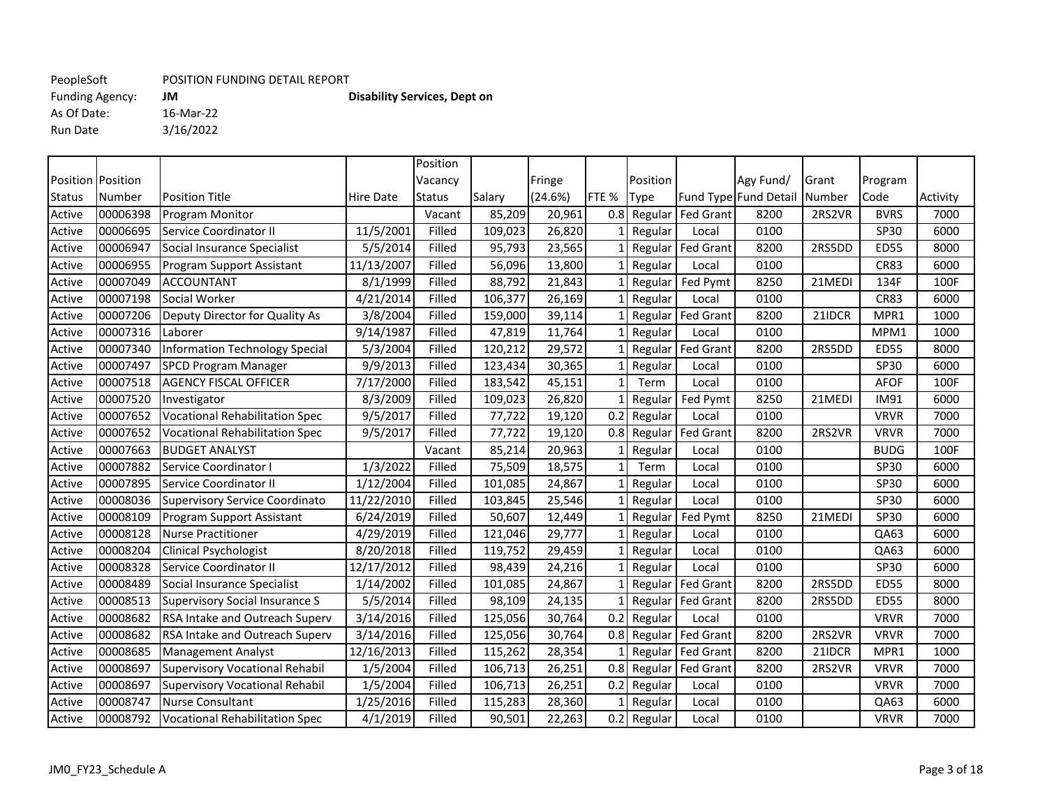As Of Date: 16-Mar-22 Run Date 3/16/2022

Funding Agency: **JM Disability Services, Dept on**

Position Position Status Number Position Title **Hire Date** Position Vacancy Status Salary Fringe (24.6%) FTE % Position Type Fund Type Fund Detail Agy Fund/ Grant Number Program Code Activity Active 00006398 Program Monitor Vacant 85,209 20,961 0.8 Regular Fed Grant 8200 2RS2VR BVRS 7000 Active 00006695 Service Coordinator II | 11/5/2001 Filled | 109,023 | 26,820 | 1 Regular | Local | 0100 | | | SP30 | 6000 Active 00006947 Social Insurance Specialist 5/5/2014 Filled 95,793 23,565 1 Regular Fed Grant 8200 2RS5DD ED55 8000 Active 00006955 Program Support Assistant | 11/13/2007 | Filled | 56,096 | 13,800 | 1 Regular | Local | 0100 | CR83 | 6000 Active |00007049 |ACCOUNTANT | 8/1/1999| Filled | 88,792| 21,843| 1| Regular | Fed Pymt | 8250 | 21MEDI | 134F | 100F Active |00007198 |Social Worker | 4/21/2014 Filled | 106,377 | 26,169 | 1 Regular | Local | 0100 | | CR83 | 6000 Active |00007206 |Deputy Director for Quality As | 3/8/2004 | Filled | 159,000 | 39,114 | 1 Regular | Fed Grant | 8200 | 21IDCR | MPR1 | 1000 Active |00007316 |Laborer | 9/14/1987| Filled | 47,819| 11,764| 1| Regular | Local | 0100 | | MPM1 | 1000 Active 00007340 Information Technology Special 5/3/2004 Filled 120,212 29,572 1 Regular Fed Grant 8200 2RS5DD ED55 8000 Active 00007497 SPCD Program Manager 19/9/2013 Filled 123,434 30,365 1 Regular Local 0100 SP30 SP30 6000 Active |00007518 |AGENCY\_FISCAL\_OFFICER | 7/17/2000| Filled | 183,542| 45,151| 1| Term | Local | 0100 | | AFOF | 100F Active |00007520 |Investigator | 8/3/2009| Filled | 109,023| 26,820| 1| Regular |Fed Pymt | 8250 | 21MEDI | IM91 | 6000 Active 100007652 Vocational Rehabilitation Spec 19/5/2017 Filled 177,722 19,120 0.2 Regular Local 10100 VRVR 7000 Active 00007652 Vocational Rehabilitation Spec 99/5/2017 Filled 77,722 19,120 0.8 Regular Fed Grant 8200 2RS2VR VRVR 7000 Active |00007663 |BUDGET\_ANALYST | Vacant | 85,214 20,963 | 1 Regular | Local | 0100 | | BUDG | 100F Active |00007882 |Service Coordinator I | 1/3/2022| Filled | 75,509| 18,575| 1| Term | Local | 0100 | | SP30 | 6000 Active |00007895 |Service Coordinator II | 1/12/2004| Filled | 101,085| 24,867| 1| Regular | Local | 0100 | | | SP30 | 6000 Active 00008036 Supervisory Service Coordinato 11/22/2010 Filled 103,845 25,546 1 Regular Local 0100 SP30 SP30 6000 Active (00008109 Program Support Assistant | 6/24/2019 Filled | 50,607 12,449 | 1 Regular Fed Pymt | 8250 | 21MEDI | SP30 | 6000 Active 00008128 Nurse Practitioner 1992/2019 Filled 121,046 29,777 1 Regular Local 0100 | QA63 6000 Active 00008204 Clinical Psychologist 18/20/2018 Filled 119,752 29,459 1 Regular Local 0100 | QA63 6000 Active 00008328 Service Coordinator II | 12/17/2012 Filled | 98,439 24,216 | 1 Regular | Local | 0100 | | SP30 | 6000 Active 00008489 Social Insurance Specialist 1/14/2002 Filled 101,085 24,867 1 Regular Fed Grant 8200 2RS5DD ED55 8000 Active (00008513 Supervisory Social Insurance S | 5/5/2014 Filled | 98,109 24,135 | 1 Regular Fed Grant | 8200 | 2RS5DD | ED55 | 8000 Active 00008682 RSA Intake and Outreach Superv | 3/14/2016| Filled | 125,056| 30,764| 0.2 Regular | Local | 0100 | | | VRVR | 7000 Active |00008682 |RSA Intake and Outreach Superv | 3/14/2016| Filled | 125,056| 30,764| 0.8| Regular | Fed Grant | 8200 | 2RS2VR | VRVR | 7000 Active 00008685 Management Analyst 12/16/2013 Filled 115,262 28,354 1 Regular Fed Grant 8200 21IDCR MPR1 1000 Active 00008697 Supervisory Vocational Rehabil | 1/5/2004 | Filled | 106,713 | 26,251 | 0.8 Regular Fed Grant | 8200 | 2RS2VR | VRVR | 7000 Active 00008697 Supervisory Vocational Rehabil 1/5/2004 Filled 106,713 26,251 0.2 Regular Local 0100 VRVR 7000 Active 00008747 Nurse Consultant 1992 | 1/25/2016 Filled | 115,283 | 28,360 | 1 Regular | Local | 0100 | | | QA63 | 6000 Active 00008792 Vocational Rehabilitation Spec | 4/1/2019 Filled | 90,501 22,263 0.2 Regular Local | 0100 | | VRVR | 7000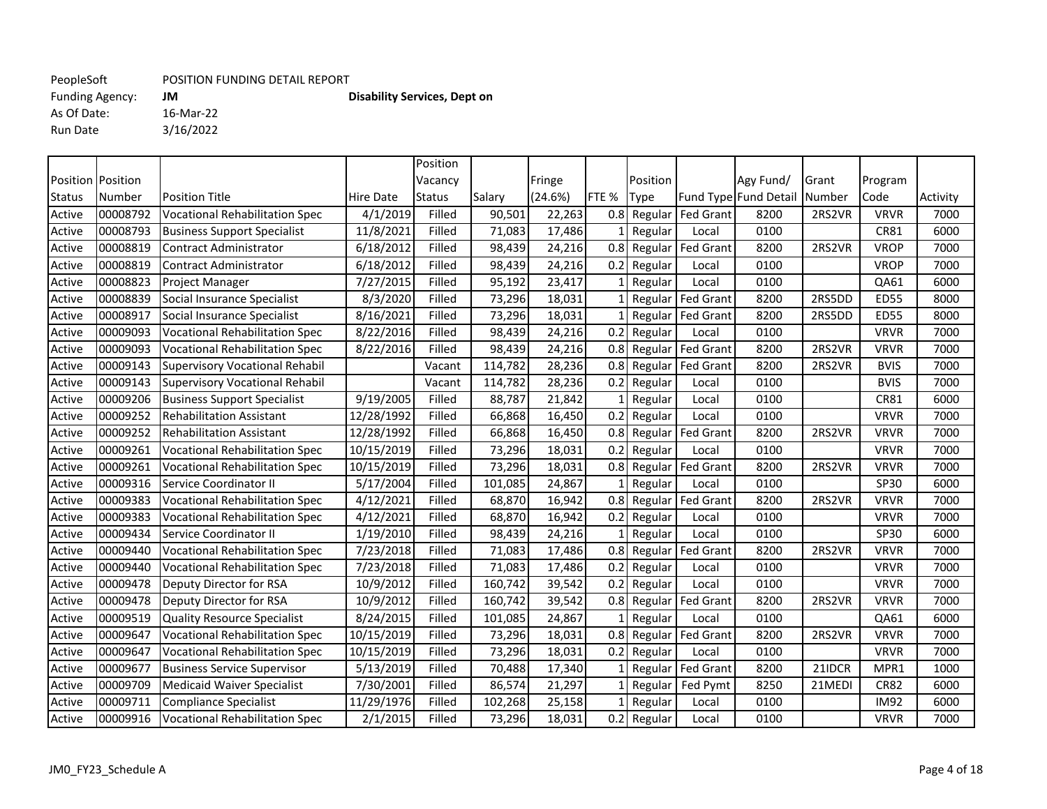As Of Date:<br>Run Date 3/16/2022

|                          |          |                                       |                  | Position      |         |         |       |             |                   |                       |        |             |          |
|--------------------------|----------|---------------------------------------|------------------|---------------|---------|---------|-------|-------------|-------------------|-----------------------|--------|-------------|----------|
| <b>Position</b> Position |          |                                       |                  | Vacancy       |         | Fringe  |       | Position    |                   | Agy Fund/             | Grant  | Program     |          |
| Status                   | Number   | <b>Position Title</b>                 | <b>Hire Date</b> | <b>Status</b> | Salary  | (24.6%) | FTE % | <b>Type</b> |                   | Fund Type Fund Detail | Number | Code        | Activity |
| Active                   | 00008792 | <b>Vocational Rehabilitation Spec</b> | 4/1/2019         | Filled        | 90,501  | 22,263  | 0.8   | Regular     | <b>Fed Grant</b>  | 8200                  | 2RS2VR | <b>VRVR</b> | 7000     |
| Active                   | 00008793 | <b>Business Support Specialist</b>    | 11/8/2021        | Filled        | 71,083  | 17,486  |       | Regular     | Local             | 0100                  |        | <b>CR81</b> | 6000     |
| Active                   | 00008819 | <b>Contract Administrator</b>         | 6/18/2012        | Filled        | 98,439  | 24,216  | 0.8   | Regular     | <b>Fed Grant</b>  | 8200                  | 2RS2VR | <b>VROP</b> | 7000     |
| Active                   | 00008819 | Contract Administrator                | 6/18/2012        | Filled        | 98,439  | 24,216  | 0.2   | Regular     | Local             | 0100                  |        | <b>VROP</b> | 7000     |
| Active                   | 00008823 | Project Manager                       | 7/27/2015        | Filled        | 95,192  | 23,417  |       | Regular     | Local             | 0100                  |        | QA61        | 6000     |
| Active                   | 00008839 | Social Insurance Specialist           | 8/3/2020         | Filled        | 73,296  | 18,031  |       | Regular     | <b>Fed Grant</b>  | 8200                  | 2RS5DD | <b>ED55</b> | 8000     |
| Active                   | 00008917 | Social Insurance Specialist           | 8/16/2021        | Filled        | 73,296  | 18,031  |       |             | Regular Fed Grant | 8200                  | 2RS5DD | <b>ED55</b> | 8000     |
| Active                   | 00009093 | <b>Vocational Rehabilitation Spec</b> | 8/22/2016        | Filled        | 98,439  | 24,216  | 0.2   | Regular     | Local             | 0100                  |        | <b>VRVR</b> | 7000     |
| Active                   | 00009093 | <b>Vocational Rehabilitation Spec</b> | 8/22/2016        | Filled        | 98,439  | 24,216  | 0.8   |             | Regular Fed Grant | 8200                  | 2RS2VR | <b>VRVR</b> | 7000     |
| Active                   | 00009143 | <b>Supervisory Vocational Rehabil</b> |                  | Vacant        | 114,782 | 28,236  | 0.8   |             | Regular Fed Grant | 8200                  | 2RS2VR | <b>BVIS</b> | 7000     |
| Active                   | 00009143 | <b>Supervisory Vocational Rehabil</b> |                  | Vacant        | 114,782 | 28,236  | 0.2   | Regular     | Local             | 0100                  |        | <b>BVIS</b> | 7000     |
| Active                   | 00009206 | <b>Business Support Specialist</b>    | 9/19/2005        | Filled        | 88,787  | 21,842  |       | Regular     | Local             | 0100                  |        | <b>CR81</b> | 6000     |
| Active                   | 00009252 | <b>Rehabilitation Assistant</b>       | 12/28/1992       | Filled        | 66,868  | 16,450  | 0.2   | Regular     | Local             | 0100                  |        | <b>VRVR</b> | 7000     |
| Active                   | 00009252 | <b>Rehabilitation Assistant</b>       | 12/28/1992       | Filled        | 66,868  | 16,450  | 0.8   | Regular     | Fed Grant         | 8200                  | 2RS2VR | <b>VRVR</b> | 7000     |
| Active                   | 00009261 | <b>Vocational Rehabilitation Spec</b> | 10/15/2019       | Filled        | 73,296  | 18,031  | 0.2   | Regular     | Local             | 0100                  |        | <b>VRVR</b> | 7000     |
| Active                   | 00009261 | <b>Vocational Rehabilitation Spec</b> | 10/15/2019       | Filled        | 73,296  | 18,031  | 0.8   | Regular     | <b>Fed Grant</b>  | 8200                  | 2RS2VR | <b>VRVR</b> | 7000     |
| Active                   | 00009316 | Service Coordinator II                | 5/17/2004        | Filled        | 101,085 | 24,867  |       | Regular     | Local             | 0100                  |        | <b>SP30</b> | 6000     |
| Active                   | 00009383 | <b>Vocational Rehabilitation Spec</b> | 4/12/2021        | Filled        | 68,870  | 16,942  | 0.8   |             | Regular Fed Grant | 8200                  | 2RS2VR | <b>VRVR</b> | 7000     |
| Active                   | 00009383 | <b>Vocational Rehabilitation Spec</b> | 4/12/2021        | Filled        | 68,870  | 16,942  | 0.2   | Regular     | Local             | 0100                  |        | <b>VRVR</b> | 7000     |
| Active                   | 00009434 | Service Coordinator II                | 1/19/2010        | Filled        | 98,439  | 24,216  |       | Regular     | Local             | 0100                  |        | SP30        | 6000     |
| Active                   | 00009440 | <b>Vocational Rehabilitation Spec</b> | 7/23/2018        | Filled        | 71,083  | 17,486  | 0.8   |             | Regular Fed Grant | 8200                  | 2RS2VR | <b>VRVR</b> | 7000     |
| Active                   | 00009440 | <b>Vocational Rehabilitation Spec</b> | 7/23/2018        | Filled        | 71,083  | 17,486  | 0.2   | Regular     | Local             | 0100                  |        | <b>VRVR</b> | 7000     |
| Active                   | 00009478 | Deputy Director for RSA               | 10/9/2012        | Filled        | 160,742 | 39,542  | 0.2   | Regular     | Local             | 0100                  |        | <b>VRVR</b> | 7000     |
| Active                   | 00009478 | Deputy Director for RSA               | 10/9/2012        | Filled        | 160,742 | 39,542  | 0.8   | Regular     | <b>Fed Grant</b>  | 8200                  | 2RS2VR | <b>VRVR</b> | 7000     |
| Active                   | 00009519 | <b>Quality Resource Specialist</b>    | 8/24/2015        | Filled        | 101,085 | 24,867  |       | Regular     | Local             | 0100                  |        | QA61        | 6000     |
| Active                   | 00009647 | Vocational Rehabilitation Spec        | 10/15/2019       | Filled        | 73,296  | 18,031  | 0.8   | Regular     | <b>Fed Grant</b>  | 8200                  | 2RS2VR | <b>VRVR</b> | 7000     |
| Active                   | 00009647 | <b>Vocational Rehabilitation Spec</b> | 10/15/2019       | Filled        | 73,296  | 18,031  | 0.2   | Regular     | Local             | 0100                  |        | <b>VRVR</b> | 7000     |
| Active                   | 00009677 | <b>Business Service Supervisor</b>    | 5/13/2019        | Filled        | 70,488  | 17,340  |       |             | Regular Fed Grant | 8200                  | 21IDCR | MPR1        | 1000     |
| Active                   | 00009709 | <b>Medicaid Waiver Specialist</b>     | 7/30/2001        | Filled        | 86,574  | 21,297  |       | Regular     | Fed Pymt          | 8250                  | 21MEDI | <b>CR82</b> | 6000     |
| Active                   | 00009711 | Compliance Specialist                 | 11/29/1976       | Filled        | 102,268 | 25,158  |       | Regular     | Local             | 0100                  |        | <b>IM92</b> | 6000     |
| Active                   | 00009916 | <b>Vocational Rehabilitation Spec</b> | 2/1/2015         | Filled        | 73,296  | 18,031  | 0.2   | Regular     | Local             | 0100                  |        | <b>VRVR</b> | 7000     |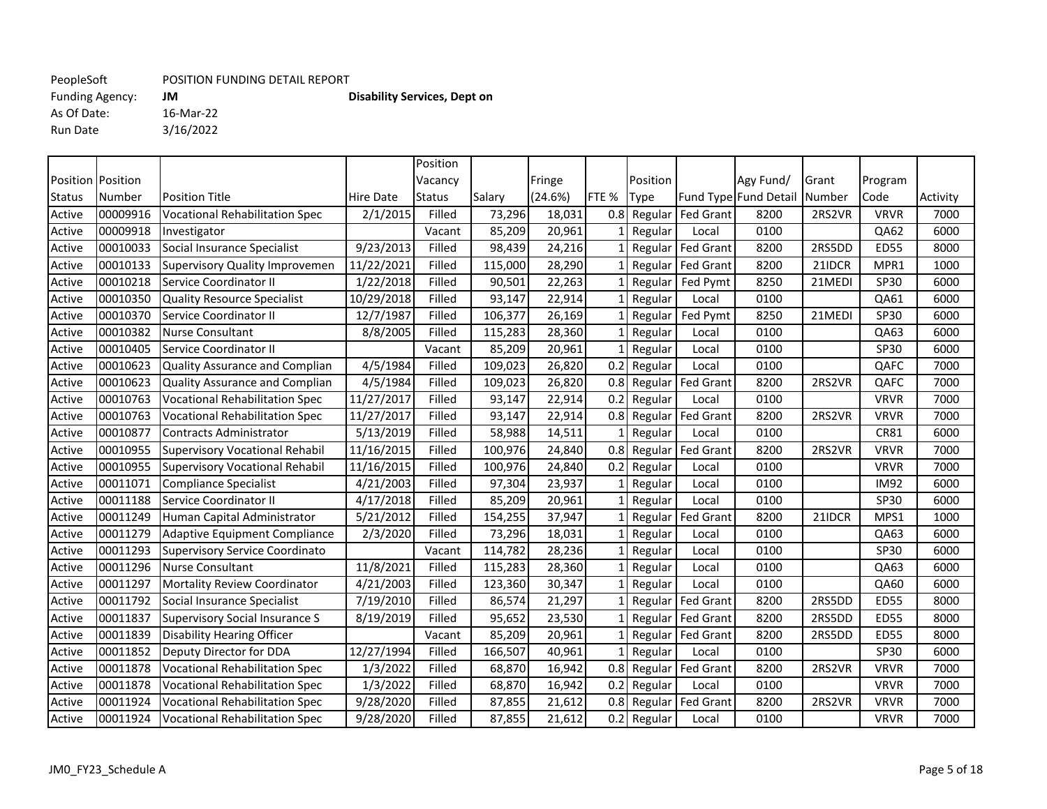As Of Date: 16-Mar-22 Run Date 3/16/2022

Funding Agency: **JM Disability Services, Dept on**

Position Position Status Number Position Title **Hire Date** Position Vacancy Status Salary Fringe (24.6%) FTE % Position Type Fund Type Fund Detail Agy Fund/ Grant Number Program Code Activity Active |00009916 |Vocational Rehabilitation Spec | 2/1/2015 | Filled | 73,296 | 18,031 | 0.8 Regular Fed Grant | 8200 | 2RS2VR | VRVR | 7000 Active |00009918 |Investigator | Vacant | 85,209 20,961 | 1 Regular | Local | 0100 | | QA62 | 6000 Active 00010033 Social Insurance Specialist 9/23/2013 Filled 98,439 24,216 1 Regular Fed Grant 8200 2RS5DD ED55 8000 Active 00010133 Supervisory Quality Improvemen 11/22/2021 Filled 115,000 28,290 1 Regular Fed Grant 8200 21IDCR MPR1 1000 Active |00010218 |Service Coordinator II | 1/22/2018 | Filled | 90,501 | 22,263 | 1 Regular | Fed Pymt | 8250 | 21MEDI | SP30 | 6000 Active 00010350 Quality Resource Specialist (10/29/2018 Filled 093,147 22,914 1 Regular Local 0100 | | QA61 | 6000 Active |00010370 Service Coordinator II | 12/7/1987 Filled | 106,377 26,169 | 1 Regular Fed Pymt | 8250 | 21MEDI | SP30 | 6000 Active 00010382 Nurse Consultant 1 | 8/8/2005 Filled 115,283 28,360 1 Regular Local | 0100 | | QA63 | 6000 Active 00010405 Service Coordinator II Vacant 85,209 20,961 1 Regular Local 0100 SP30 6000 Active 00010623 Quality Assurance and Complian | 4/5/1984 Filled | 109,023 26,820 0.2 Regular Local | 0100 | QAFC | 7000 Active 100010623 Quality Assurance and Complian 1 4/5/1984 Filled 109,023 26,820 0.8 Regular Fed Grant 8200 2RS2VR QAFC 7000 Active 00010763 Vocational Rehabilitation Spec 11/27/2017 Filled 93,147 22,914 0.2 Regular Local 0100 VAVR 7000 Active 00010763 Vocational Rehabilitation Spec 11/27/2017 Filled 93,147 22,914 0.8 Regular Fed Grant 8200 2RS2VR VRVR 7000 Active 00010877 Contracts Administrator 5/13/2019 Filled 58,988 14,511 1 Regular Local 0100 CR81 6000 Active 100010955 Supervisory Vocational Rehabil 11/16/2015 Filled 100,976 24,840 0.8 Regular Fed Grant 8200 2RS2VR VRVR 7000 Active 100010955 Supervisory Vocational Rehabil 11/16/2015 Filled 100,976 24,840 0.2 Regular Local 1 0100 VRVR 7000 Active 00011071 Compliance Specialist 4/21/2003 Filled 97,304 23,937 1 Regular Local 0100 IM92 6000 Active 00011188 Service Coordinator II | 4/17/2018 Filled | 85,209 20,961 | 1 Regular Local | 0100 | | | SP30 | 6000 Active 00011249 Human Capital Administrator 5/21/2012 Filled 154,255 37,947 1 Regular Fed Grant 8200 21IDCR MPS1 1000 Active 000011279 Adaptive Equipment Compliance | 2/3/2020 | Filled | 73,296 | 18,031 | 1 Regular | Local | 0100 | | | QA63 | 6000 Active 000011293 Supervisory Service Coordinato | | | Vacant | 114,782 | 28,236 | 1 Regular | Local | 0100 | | | SP30 | 6000 Active 00011296 Nurse Consultant 111/8/2021 Filled 115,283 28,360 1 Regular Local 0100 | QA63 6000 Active 000011297 Mortality Review Coordinator | 4/21/2003 | Filled | 123,360 30,347 | 1 Regular | Local | 0100 | | | QA60 | 6000 Active 00011792 Social Insurance Specialist 7/19/2010 Filled 86,574 21,297 1 Regular Fed Grant 8200 2RS5DD ED55 8000 Active (00011837 Supervisory Social Insurance S (8/19/2019) Filled (95,652 23,530 1 Regular Fed Grant 8200 2RS5DD ED55 (8000 Active 000011839 Disability Hearing Officer  $\vert$  Vacant 85,209 20,961 1 Regular Fed Grant 8200 2RS5DD ED55 8000 Active 000011852 Deputy Director for DDA 12/27/1994 Filled 166,507 40,961 1 Regular Local 0100 SP30 SP30 6000 Active 00011878 Vocational Rehabilitation Spec 1/3/2022 Filled 68,870 16,942 0.8 Regular Fed Grant 8200 2RS2VR VRVR 7000 Active 000011878 Vocational Rehabilitation Spec | 1/3/2022 Filled | 68,870 16,942 0.2 Regular Local | 0100 | | VRVR | 7000 Active |00011924 |Vocational Rehabilitation Spec | 9/28/2020| Filled | 87,855 21,612 0.8 Regular Fed Grant | 8200 | 2RS2VR | VRVR | 7000 Active 000011924 Vocational Rehabilitation Spec | 9/28/2020 | Filled | 87,855 | 21,612 | 0.2 Regular | Local | 0100 | | | VRVR | 7000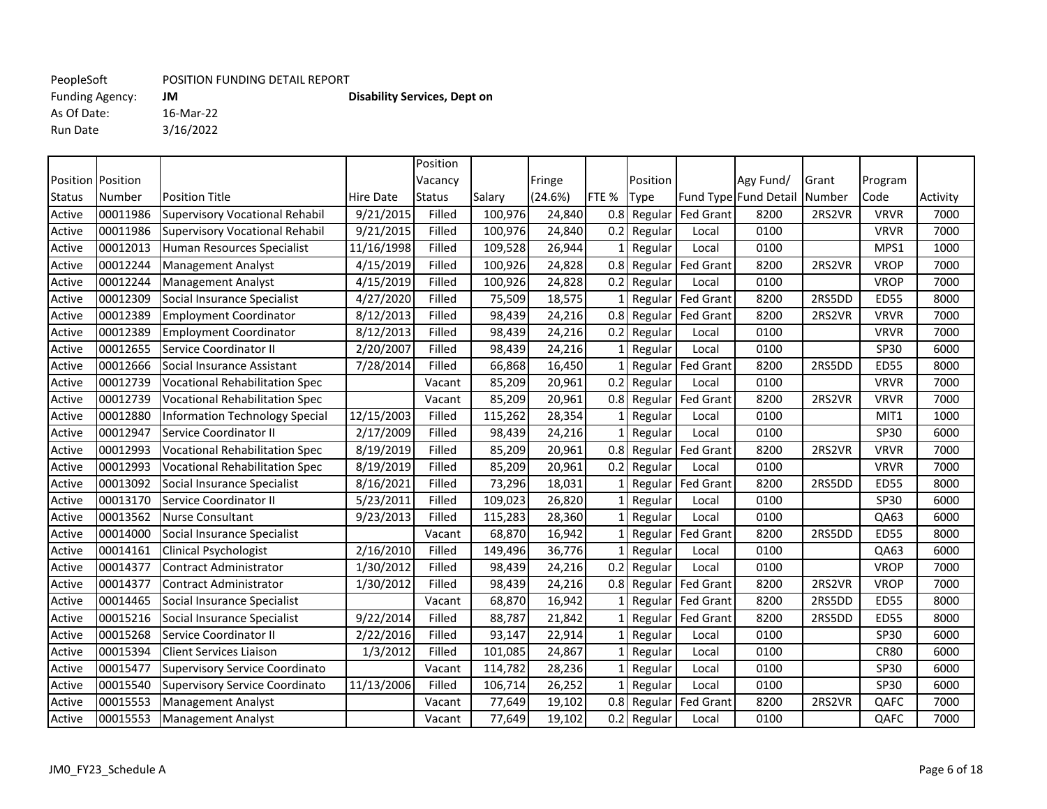As Of Date: Run Date 3/16/2022

|                     |          |                                       |                  | Position      |         |         |       |             |                   |                       |        |             |          |
|---------------------|----------|---------------------------------------|------------------|---------------|---------|---------|-------|-------------|-------------------|-----------------------|--------|-------------|----------|
| Position   Position |          |                                       |                  | Vacancy       |         | Fringe  |       | Position    |                   | Agy Fund/             | Grant  | Program     |          |
| <b>Status</b>       | Number   | <b>Position Title</b>                 | <b>Hire Date</b> | <b>Status</b> | Salary  | (24.6%) | FTE % | Type        |                   | Fund Type Fund Detail | Number | Code        | Activity |
| Active              | 00011986 | Supervisory Vocational Rehabil        | 9/21/2015        | Filled        | 100,976 | 24,840  | 0.8   | Regular     | <b>Fed Grant</b>  | 8200                  | 2RS2VR | <b>VRVR</b> | 7000     |
| Active              | 00011986 | Supervisory Vocational Rehabil        | 9/21/2015        | Filled        | 100,976 | 24,840  | 0.2   | Regular     | Local             | 0100                  |        | <b>VRVR</b> | 7000     |
| Active              | 00012013 | Human Resources Specialist            | 11/16/1998       | Filled        | 109,528 | 26,944  |       | Regular     | Local             | 0100                  |        | MPS1        | 1000     |
| Active              | 00012244 | <b>Management Analyst</b>             | 4/15/2019        | Filled        | 100,926 | 24,828  | 0.8   | Regular     | <b>Fed Grant</b>  | 8200                  | 2RS2VR | <b>VROP</b> | 7000     |
| Active              | 00012244 | <b>Management Analyst</b>             | 4/15/2019        | Filled        | 100,926 | 24,828  | 0.2   | Regular     | Local             | 0100                  |        | <b>VROP</b> | 7000     |
| Active              | 00012309 | Social Insurance Specialist           | 4/27/2020        | Filled        | 75,509  | 18,575  |       |             | Regular Fed Grant | 8200                  | 2RS5DD | <b>ED55</b> | 8000     |
| Active              | 00012389 | <b>Employment Coordinator</b>         | 8/12/2013        | Filled        | 98,439  | 24,216  | 0.8   |             | Regular Fed Grant | 8200                  | 2RS2VR | <b>VRVR</b> | 7000     |
| Active              | 00012389 | <b>Employment Coordinator</b>         | 8/12/2013        | Filled        | 98,439  | 24,216  | 0.2   | Regular     | Local             | 0100                  |        | <b>VRVR</b> | 7000     |
| Active              | 00012655 | Service Coordinator II                | 2/20/2007        | Filled        | 98,439  | 24,216  |       | Regular     | Local             | 0100                  |        | <b>SP30</b> | 6000     |
| Active              | 00012666 | Social Insurance Assistant            | 7/28/2014        | Filled        | 66,868  | 16,450  |       | Regular     | <b>Fed Grant</b>  | 8200                  | 2RS5DD | <b>ED55</b> | 8000     |
| Active              | 00012739 | <b>Vocational Rehabilitation Spec</b> |                  | Vacant        | 85,209  | 20,961  | 0.2   | Regular     | Local             | 0100                  |        | <b>VRVR</b> | 7000     |
| Active              | 00012739 | Vocational Rehabilitation Spec        |                  | Vacant        | 85,209  | 20,961  | 0.8   | Regular     | <b>Fed Grant</b>  | 8200                  | 2RS2VR | <b>VRVR</b> | 7000     |
| Active              | 00012880 | Information Technology Special        | 12/15/2003       | Filled        | 115,262 | 28,354  |       | Regular     | Local             | 0100                  |        | MIT1        | 1000     |
| Active              | 00012947 | Service Coordinator II                | 2/17/2009        | Filled        | 98,439  | 24,216  |       | Regular     | Local             | 0100                  |        | <b>SP30</b> | 6000     |
| Active              | 00012993 | Vocational Rehabilitation Spec        | 8/19/2019        | Filled        | 85,209  | 20,961  | 0.8   | Regular     | <b>Fed Grant</b>  | 8200                  | 2RS2VR | <b>VRVR</b> | 7000     |
| Active              | 00012993 | Vocational Rehabilitation Spec        | 8/19/2019        | Filled        | 85,209  | 20,961  | 0.2   | Regular     | Local             | 0100                  |        | <b>VRVR</b> | 7000     |
| Active              | 00013092 | Social Insurance Specialist           | 8/16/2021        | Filled        | 73,296  | 18,031  |       | Regular     | <b>Fed Grant</b>  | 8200                  | 2RS5DD | <b>ED55</b> | 8000     |
| Active              | 00013170 | Service Coordinator II                | 5/23/2011        | Filled        | 109,023 | 26,820  |       | Regular     | Local             | 0100                  |        | <b>SP30</b> | 6000     |
| Active              | 00013562 | <b>Nurse Consultant</b>               | 9/23/2013        | Filled        | 115,283 | 28,360  |       | Regular     | Local             | 0100                  |        | QA63        | 6000     |
| Active              | 00014000 | Social Insurance Specialist           |                  | Vacant        | 68,870  | 16,942  |       | Regular     | <b>Fed Grant</b>  | 8200                  | 2RS5DD | <b>ED55</b> | 8000     |
| Active              | 00014161 | <b>Clinical Psychologist</b>          | 2/16/2010        | Filled        | 149,496 | 36,776  |       | Regular     | Local             | 0100                  |        | QA63        | 6000     |
| Active              | 00014377 | Contract Administrator                | 1/30/2012        | Filled        | 98,439  | 24,216  | 0.2   | Regular     | Local             | 0100                  |        | <b>VROP</b> | 7000     |
| Active              | 00014377 | Contract Administrator                | 1/30/2012        | Filled        | 98,439  | 24,216  |       | 0.8 Regular | <b>Fed Grant</b>  | 8200                  | 2RS2VR | <b>VROP</b> | 7000     |
| Active              | 00014465 | Social Insurance Specialist           |                  | Vacant        | 68,870  | 16,942  |       | Regular     | <b>Fed Grant</b>  | 8200                  | 2RS5DD | <b>ED55</b> | 8000     |
| Active              | 00015216 | Social Insurance Specialist           | 9/22/2014        | Filled        | 88,787  | 21,842  |       |             | Regular Fed Grant | 8200                  | 2RS5DD | <b>ED55</b> | 8000     |
| Active              | 00015268 | Service Coordinator II                | 2/22/2016        | Filled        | 93,147  | 22,914  |       | Regular     | Local             | 0100                  |        | SP30        | 6000     |
| Active              | 00015394 | <b>Client Services Liaison</b>        | 1/3/2012         | Filled        | 101,085 | 24,867  |       | Regular     | Local             | 0100                  |        | <b>CR80</b> | 6000     |
| Active              | 00015477 | Supervisory Service Coordinato        |                  | Vacant        | 114,782 | 28,236  |       | Regular     | Local             | 0100                  |        | <b>SP30</b> | 6000     |
| Active              | 00015540 | Supervisory Service Coordinato        | 11/13/2006       | Filled        | 106,714 | 26,252  |       | Regular     | Local             | 0100                  |        | SP30        | 6000     |
| Active              | 00015553 | Management Analyst                    |                  | Vacant        | 77,649  | 19,102  |       | 0.8 Regular | <b>Fed Grant</b>  | 8200                  | 2RS2VR | QAFC        | 7000     |
| Active              | 00015553 | <b>Management Analyst</b>             |                  | Vacant        | 77,649  | 19,102  |       | 0.2 Regular | Local             | 0100                  |        | QAFC        | 7000     |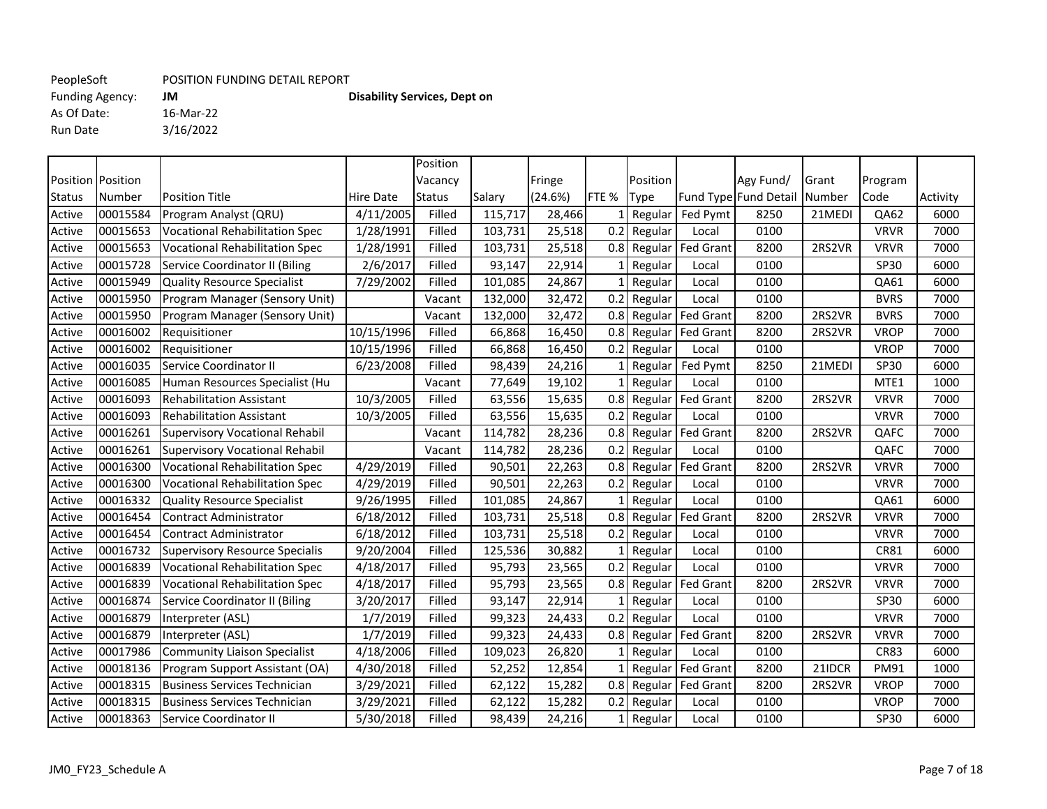As Of Date:<br>Run Date 3/16/2022

|                     |          |                                       |                  | Position      |         |         |       |             |                   |                       |        |             |          |
|---------------------|----------|---------------------------------------|------------------|---------------|---------|---------|-------|-------------|-------------------|-----------------------|--------|-------------|----------|
| Position   Position |          |                                       |                  | Vacancy       |         | Fringe  |       | Position    |                   | Agy Fund/             | Grant  | Program     |          |
| Status              | Number   | <b>Position Title</b>                 | <b>Hire Date</b> | <b>Status</b> | Salary  | (24.6%) | FTE % | <b>Type</b> |                   | Fund Type Fund Detail | Number | Code        | Activity |
| Active              | 00015584 | Program Analyst (QRU)                 | 4/11/2005        | Filled        | 115,717 | 28,466  |       | Regular     | Fed Pymt          | 8250                  | 21MEDI | QA62        | 6000     |
| Active              | 00015653 | Vocational Rehabilitation Spec        | 1/28/1991        | Filled        | 103,731 | 25,518  | 0.2   | Regular     | Local             | 0100                  |        | <b>VRVR</b> | 7000     |
| Active              | 00015653 | <b>Vocational Rehabilitation Spec</b> | 1/28/1991        | Filled        | 103,731 | 25,518  | 0.8   | Regular     | <b>Fed Grant</b>  | 8200                  | 2RS2VR | <b>VRVR</b> | 7000     |
| Active              | 00015728 | Service Coordinator II (Biling        | 2/6/2017         | Filled        | 93,147  | 22,914  |       | Regular     | Local             | 0100                  |        | <b>SP30</b> | 6000     |
| Active              | 00015949 | <b>Quality Resource Specialist</b>    | 7/29/2002        | Filled        | 101,085 | 24,867  |       | Regular     | Local             | 0100                  |        | QA61        | 6000     |
| Active              | 00015950 | Program Manager (Sensory Unit)        |                  | Vacant        | 132,000 | 32,472  | 0.2   | Regular     | Local             | 0100                  |        | <b>BVRS</b> | 7000     |
| Active              | 00015950 | Program Manager (Sensory Unit)        |                  | Vacant        | 132,000 | 32,472  | 0.8   |             | Regular Fed Grant | 8200                  | 2RS2VR | <b>BVRS</b> | 7000     |
| Active              | 00016002 | Requisitioner                         | 10/15/1996       | Filled        | 66,868  | 16,450  | 0.8   |             | Regular Fed Grant | 8200                  | 2RS2VR | <b>VROP</b> | 7000     |
| Active              | 00016002 | Requisitioner                         | 10/15/1996       | Filled        | 66,868  | 16,450  | 0.2   | Regular     | Local             | 0100                  |        | <b>VROP</b> | 7000     |
| Active              | 00016035 | Service Coordinator II                | 6/23/2008        | Filled        | 98,439  | 24,216  |       | Regular     | Fed Pymt          | 8250                  | 21MEDI | <b>SP30</b> | 6000     |
| Active              | 00016085 | Human Resources Specialist (Hu        |                  | Vacant        | 77,649  | 19,102  |       | Regular     | Local             | 0100                  |        | MTE1        | 1000     |
| Active              | 00016093 | <b>Rehabilitation Assistant</b>       | 10/3/2005        | Filled        | 63,556  | 15,635  | 0.8   |             | Regular Fed Grant | 8200                  | 2RS2VR | <b>VRVR</b> | 7000     |
| Active              | 00016093 | <b>Rehabilitation Assistant</b>       | 10/3/2005        | Filled        | 63,556  | 15,635  | 0.2   | Regular     | Local             | 0100                  |        | <b>VRVR</b> | 7000     |
| Active              | 00016261 | <b>Supervisory Vocational Rehabil</b> |                  | Vacant        | 114,782 | 28,236  | 0.8   |             | Regular Fed Grant | 8200                  | 2RS2VR | QAFC        | 7000     |
| Active              | 00016261 | <b>Supervisory Vocational Rehabil</b> |                  | Vacant        | 114,782 | 28,236  | 0.2   | Regular     | Local             | 0100                  |        | QAFC        | 7000     |
| Active              | 00016300 | <b>Vocational Rehabilitation Spec</b> | 4/29/2019        | Filled        | 90,501  | 22,263  | 0.8   |             | Regular Fed Grant | 8200                  | 2RS2VR | <b>VRVR</b> | 7000     |
| Active              | 00016300 | <b>Vocational Rehabilitation Spec</b> | 4/29/2019        | Filled        | 90,501  | 22,263  | 0.2   | Regular     | Local             | 0100                  |        | <b>VRVR</b> | 7000     |
| Active              | 00016332 | <b>Quality Resource Specialist</b>    | 9/26/1995        | Filled        | 101,085 | 24,867  |       | Regular     | Local             | 0100                  |        | QA61        | 6000     |
| Active              | 00016454 | <b>Contract Administrator</b>         | 6/18/2012        | Filled        | 103,731 | 25,518  | 0.8   |             | Regular Fed Grant | 8200                  | 2RS2VR | <b>VRVR</b> | 7000     |
| Active              | 00016454 | <b>Contract Administrator</b>         | 6/18/2012        | Filled        | 103,731 | 25,518  | 0.2   | Regular     | Local             | 0100                  |        | <b>VRVR</b> | 7000     |
| Active              | 00016732 | <b>Supervisory Resource Specialis</b> | 9/20/2004        | Filled        | 125,536 | 30,882  |       | Regular     | Local             | 0100                  |        | <b>CR81</b> | 6000     |
| Active              | 00016839 | <b>Vocational Rehabilitation Spec</b> | 4/18/2017        | Filled        | 95,793  | 23,565  | 0.2   | Regular     | Local             | 0100                  |        | <b>VRVR</b> | 7000     |
| Active              | 00016839 | <b>Vocational Rehabilitation Spec</b> | 4/18/2017        | Filled        | 95,793  | 23,565  | 0.8   |             | Regular Fed Grant | 8200                  | 2RS2VR | <b>VRVR</b> | 7000     |
| Active              | 00016874 | Service Coordinator II (Biling        | 3/20/2017        | Filled        | 93,147  | 22,914  |       | Regular     | Local             | 0100                  |        | SP30        | 6000     |
| Active              | 00016879 | Interpreter (ASL)                     | 1/7/2019         | Filled        | 99,323  | 24,433  | 0.2   | Regular     | Local             | 0100                  |        | <b>VRVR</b> | 7000     |
| Active              | 00016879 | Interpreter (ASL)                     | 1/7/2019         | Filled        | 99,323  | 24,433  | 0.8   |             | Regular Fed Grant | 8200                  | 2RS2VR | <b>VRVR</b> | 7000     |
| Active              | 00017986 | <b>Community Liaison Specialist</b>   | 4/18/2006        | Filled        | 109,023 | 26,820  |       | Regular     | Local             | 0100                  |        | <b>CR83</b> | 6000     |
| Active              | 00018136 | Program Support Assistant (OA)        | 4/30/2018        | Filled        | 52,252  | 12,854  |       |             | Regular Fed Grant | 8200                  | 21IDCR | <b>PM91</b> | 1000     |
| Active              | 00018315 | <b>Business Services Technician</b>   | 3/29/2021        | Filled        | 62,122  | 15,282  | 0.8   |             | Regular Fed Grant | 8200                  | 2RS2VR | <b>VROP</b> | 7000     |
| Active              | 00018315 | <b>Business Services Technician</b>   | 3/29/2021        | Filled        | 62,122  | 15,282  | 0.2   | Regular     | Local             | 0100                  |        | <b>VROP</b> | 7000     |
| Active              | 00018363 | Service Coordinator II                | 5/30/2018        | Filled        | 98,439  | 24,216  | 1     | Regular     | Local             | 0100                  |        | SP30        | 6000     |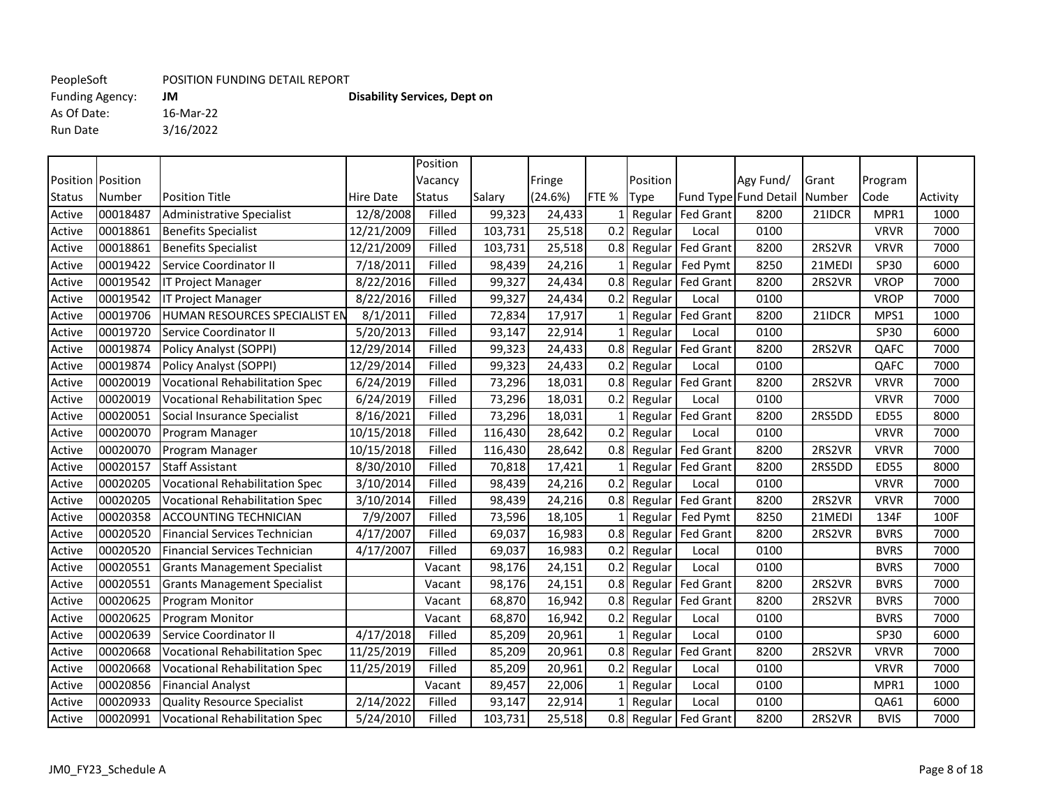Funding Agency: **JM Disability Services, Dept on**<br>As Of Date: 16-Mar-22 As Of Date:<br>Run Date 3/16/2022

|                     |          |                                       |                  | Position      |         |         |       |             |                       |                       |        |             |          |
|---------------------|----------|---------------------------------------|------------------|---------------|---------|---------|-------|-------------|-----------------------|-----------------------|--------|-------------|----------|
| Position   Position |          |                                       |                  | Vacancy       |         | Fringe  |       | Position    |                       | Agy Fund/             | Grant  | Program     |          |
| Status              | Number   | <b>Position Title</b>                 | <b>Hire Date</b> | <b>Status</b> | Salary  | (24.6%) | FTE % | <b>Type</b> |                       | Fund Type Fund Detail | Number | Code        | Activity |
| Active              | 00018487 | <b>Administrative Specialist</b>      | 12/8/2008        | Filled        | 99,323  | 24,433  |       | Regular     | <b>Fed Grant</b>      | 8200                  | 21IDCR | MPR1        | 1000     |
| Active              | 00018861 | <b>Benefits Specialist</b>            | 12/21/2009       | Filled        | 103,731 | 25,518  | 0.2   | Regular     | Local                 | 0100                  |        | <b>VRVR</b> | 7000     |
| Active              | 00018861 | <b>Benefits Specialist</b>            | 12/21/2009       | Filled        | 103,731 | 25,518  | 0.8   |             | Regular Fed Grant     | 8200                  | 2RS2VR | <b>VRVR</b> | 7000     |
| Active              | 00019422 | Service Coordinator II                | 7/18/2011        | Filled        | 98,439  | 24,216  |       | Regular     | Fed Pymt              | 8250                  | 21MEDI | <b>SP30</b> | 6000     |
| Active              | 00019542 | <b>IT Project Manager</b>             | 8/22/2016        | Filled        | 99,327  | 24,434  | 0.8   | Regular     | <b>Fed Grant</b>      | 8200                  | 2RS2VR | <b>VROP</b> | 7000     |
| Active              | 00019542 | <b>IT Project Manager</b>             | 8/22/2016        | Filled        | 99,327  | 24,434  | 0.2   | Regular     | Local                 | 0100                  |        | <b>VROP</b> | 7000     |
| Active              | 00019706 | HUMAN RESOURCES SPECIALIST EN         | 8/1/2011         | Filled        | 72,834  | 17,917  |       |             | Regular Fed Grant     | 8200                  | 21IDCR | MPS1        | 1000     |
| Active              | 00019720 | Service Coordinator II                | 5/20/2013        | Filled        | 93,147  | 22,914  |       | Regular     | Local                 | 0100                  |        | <b>SP30</b> | 6000     |
| Active              | 00019874 | Policy Analyst (SOPPI)                | 12/29/2014       | Filled        | 99,323  | 24,433  |       |             | 0.8 Regular Fed Grant | 8200                  | 2RS2VR | QAFC        | 7000     |
| Active              | 00019874 | Policy Analyst (SOPPI)                | 12/29/2014       | Filled        | 99,323  | 24,433  | 0.2   | Regular     | Local                 | 0100                  |        | QAFC        | 7000     |
| Active              | 00020019 | <b>Vocational Rehabilitation Spec</b> | 6/24/2019        | Filled        | 73,296  | 18,031  | 0.8   |             | Regular Fed Grant     | 8200                  | 2RS2VR | <b>VRVR</b> | 7000     |
| Active              | 00020019 | <b>Vocational Rehabilitation Spec</b> | 6/24/2019        | Filled        | 73,296  | 18,031  | 0.2   | Regular     | Local                 | 0100                  |        | <b>VRVR</b> | 7000     |
| Active              | 00020051 | Social Insurance Specialist           | 8/16/2021        | Filled        | 73,296  | 18,031  |       |             | Regular Fed Grant     | 8200                  | 2RS5DD | <b>ED55</b> | 8000     |
| Active              | 00020070 | Program Manager                       | 10/15/2018       | Filled        | 116,430 | 28,642  | 0.2   | Regular     | Local                 | 0100                  |        | <b>VRVR</b> | 7000     |
| Active              | 00020070 | Program Manager                       | 10/15/2018       | Filled        | 116,430 | 28,642  |       |             | 0.8 Regular Fed Grant | 8200                  | 2RS2VR | <b>VRVR</b> | 7000     |
| Active              | 00020157 | <b>Staff Assistant</b>                | 8/30/2010        | Filled        | 70,818  | 17,421  |       |             | Regular Fed Grant     | 8200                  | 2RS5DD | <b>ED55</b> | 8000     |
| Active              | 00020205 | <b>Vocational Rehabilitation Spec</b> | 3/10/2014        | Filled        | 98,439  | 24,216  |       | 0.2 Regular | Local                 | 0100                  |        | <b>VRVR</b> | 7000     |
| Active              | 00020205 | <b>Vocational Rehabilitation Spec</b> | 3/10/2014        | Filled        | 98,439  | 24,216  | 0.8   |             | Regular Fed Grant     | 8200                  | 2RS2VR | <b>VRVR</b> | 7000     |
| Active              | 00020358 | <b>ACCOUNTING TECHNICIAN</b>          | 7/9/2007         | Filled        | 73,596  | 18,105  |       | Regular     | Fed Pymt              | 8250                  | 21MEDI | 134F        | 100F     |
| Active              | 00020520 | Financial Services Technician         | 4/17/2007        | Filled        | 69,037  | 16,983  | 0.8   |             | Regular Fed Grant     | 8200                  | 2RS2VR | <b>BVRS</b> | 7000     |
| Active              | 00020520 | Financial Services Technician         | 4/17/2007        | Filled        | 69,037  | 16,983  | 0.2   | Regular     | Local                 | 0100                  |        | <b>BVRS</b> | 7000     |
| Active              | 00020551 | <b>Grants Management Specialist</b>   |                  | Vacant        | 98,176  | 24,151  | 0.2   | Regular     | Local                 | 0100                  |        | <b>BVRS</b> | 7000     |
| Active              | 00020551 | <b>Grants Management Specialist</b>   |                  | Vacant        | 98,176  | 24,151  | 0.8   |             | Regular Fed Grant     | 8200                  | 2RS2VR | <b>BVRS</b> | 7000     |
| Active              | 00020625 | Program Monitor                       |                  | Vacant        | 68,870  | 16,942  | 0.8   | Regular     | <b>Fed Grant</b>      | 8200                  | 2RS2VR | <b>BVRS</b> | 7000     |
| Active              | 00020625 | Program Monitor                       |                  | Vacant        | 68,870  | 16,942  | 0.2   | Regular     | Local                 | 0100                  |        | <b>BVRS</b> | 7000     |
| Active              | 00020639 | Service Coordinator II                | 4/17/2018        | Filled        | 85,209  | 20,961  |       | Regular     | Local                 | 0100                  |        | <b>SP30</b> | 6000     |
| Active              | 00020668 | <b>Vocational Rehabilitation Spec</b> | 11/25/2019       | Filled        | 85,209  | 20,961  |       |             | 0.8 Regular Fed Grant | 8200                  | 2RS2VR | <b>VRVR</b> | 7000     |
| Active              | 00020668 | <b>Vocational Rehabilitation Spec</b> | 11/25/2019       | Filled        | 85,209  | 20,961  | 0.2   | Regular     | Local                 | 0100                  |        | <b>VRVR</b> | 7000     |
| Active              | 00020856 | <b>Financial Analyst</b>              |                  | Vacant        | 89,457  | 22,006  |       | Regular     | Local                 | 0100                  |        | MPR1        | 1000     |
| Active              | 00020933 | <b>Quality Resource Specialist</b>    | 2/14/2022        | Filled        | 93,147  | 22,914  |       | Regular     | Local                 | 0100                  |        | QA61        | 6000     |
| Active              | 00020991 | <b>Vocational Rehabilitation Spec</b> | 5/24/2010        | Filled        | 103,731 | 25,518  |       |             | 0.8 Regular Fed Grant | 8200                  | 2RS2VR | <b>BVIS</b> | 7000     |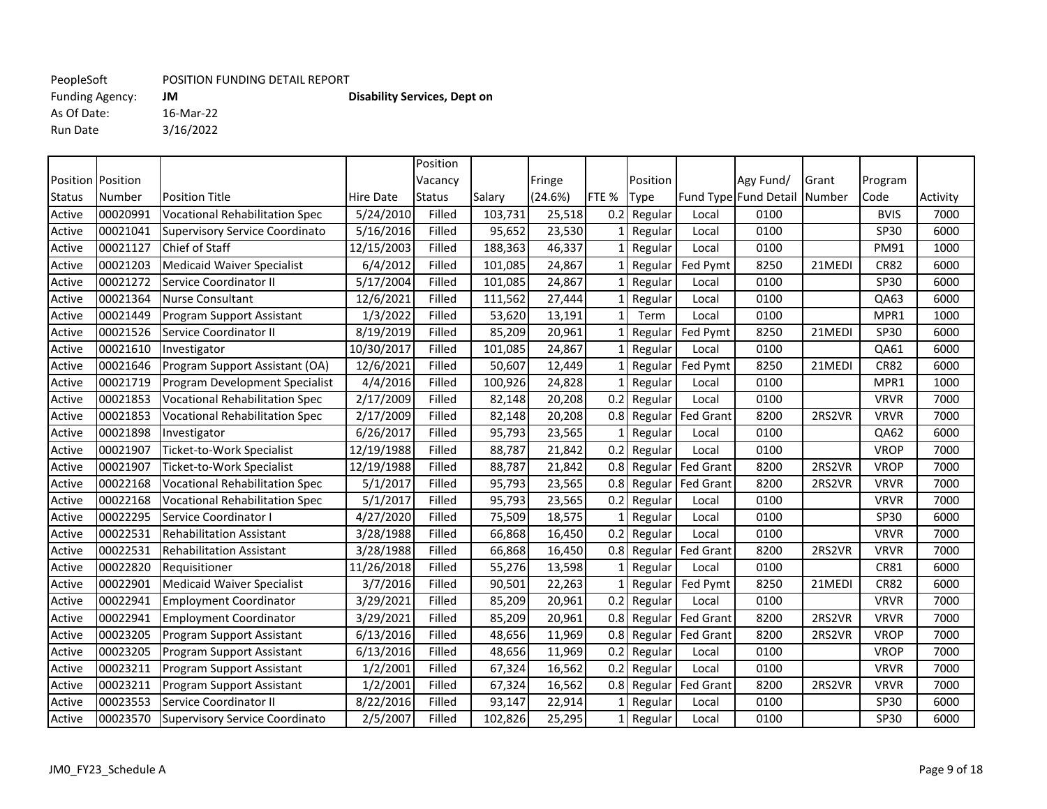As Of Date: 16-Mar-22 Run Date 3/16/2022

Funding Agency: **JM Disability Services, Dept on**

Position Position Status Number Position Title **Hire Date** Position Vacancy Status Salary Fringe (24.6%) FTE % Position Type Fund Type Fund Detail Agy Fund/ Grant Number Program Code Activity Active 00020991 Vocational Rehabilitation Spec | 5/24/2010 | Filled | 103,731 25,518 0.2 Regular Local | 0100 | | | BVIS | 7000 Active 00021041 Supervisory Service Coordinato | 5/16/2016| Filled | 95,652| 23,530| 1| Regular | Local | 0100 | | | SP30 | 6000 Active |00021127 |Chief of Staff |12/15/2003| Filled | 188,363| 46,337| 1| Regular | Local | 0100 | | PM91 | 1000 Active 00021203 Medicaid Waiver Specialist | 6/4/2012 Filled | 101,085 24,867 | 1 Regular Fed Pymt | 8250 | 21MEDI | CR82 | 6000 Active |00021272 |Service Coordinator II | 5/17/2004| Filled | 101,085| 24,867| 1| Regular | Local | 0100 | | | SP30 | 6000 Active 00021364 Nurse Consultant 12/6/2021 Filled 111,562 27,444 1 Regular Local 0100 | QA63 6000 Active 100021449 Program Support Assistant 1 1/3/2022 Filled 1 53,620 13,191 1 Term Local 1 0100 1 MPR1 1000 Active 00021526 Service Coordinator II 8/19/2019 Filled 85,209 20,961 1 Regular Fed Pymt 8250 21MEDI SP30 6000 Active |00021610 |Investigator |10/30/2017| Filled | 101,085| 24,867| 1| Regular | Local | 0100 | | QA61 | 6000 Active 00021646 Program Support Assistant (OA) | 12/6/2021 | Filled | 50,607 | 12,449 | 1 Regular | Fed Pymt | 8250 | 21MEDI | CR82 | 6000 Active 00021719 Program Development Specialist | 4/4/2016 | Filled | 100,926 | 24,828 | 1 Regular | Local | 0100 | MPR1 | 1000 | MPR1 | 1000 | MPR1 | 1000 | MPR1 | 1000 | MPR1 | 1000 | MPR1 | 1000 | MPR1 | 1000 | MPR1 | 10 Active 000021853 Vocational Rehabilitation Spec 2/17/2009 Filled 82,148 20,208 0.2 Regular Local 0100 VRVR 7000 Active 100021853 Vocational Rehabilitation Spec 1 2/17/2009 Filled 1 82,148 20,208 0.8 Regular Fed Grant 8200 2RS2VR VRVR 7000 Active |00021898 |Investigator | 6/26/2017| Filled | 95,793| 23,565| 1| Regular | Local | 0100 | | QA62 | 6000 Active 00021907 Ticket-to-Work Specialist (12/19/1988 Filled 88,787 21,842 0.2 Regular Local 0100 VAOP X000 VROP 7000 Active 00021907 Ticket-to-Work Specialist 12/19/1988 Filled 88,787 21,842 0.8 Regular Fed Grant 8200 2RS2VR VROP 7000 Active 100022168 Vocational Rehabilitation Spec 1 5/1/2017 Filled 1 95,793 23,565 0.8 Regular Fed Grant 8200 2RS2VR VRVR 1 7000 Active 00022168 Vocational Rehabilitation Spec | 5/1/2017 Filled | 95,793 23,565 0.2 Regular Local | 0100 | | VRVR | 7000 Active 00022295 Service Coordinator I | 4/27/2020 Filled | 75,509 18,575 | 1 Regular | Local | 0100 | | | SP30 | 6000 Active 00022531 Rehabilitation Assistant | 3/28/1988 Filled | 66,868 16,450 0.2 Regular Local | 0100 | | | VRVR | 7000 Active 00022531 Rehabilitation Assistant 1 3/28/1988 Filled 66,868 16,450 0.8 Regular Fed Grant 8200 2RS2VR VRVR 7000 Active 00022820 Requisitioner | 11/26/2018 Filled | 55,276 13,598 | 1 Regular Local | 0100 | | CR81 | 6000 Active 00022901 Medicaid Waiver Specialist 3/7/2016 Filled 90,501 22,263 1 Regular Fed Pymt 8250 21MEDI CR82 6000 Active 00022941 Employment Coordinator 3/29/2021 Filled 85,209 20,961 0.2 Regular Local 0100 VRVR 7000 Active 00022941 Employment Coordinator 3/29/2021 Filled 85,209 20,961 0.8 Regular Fed Grant 8200 2RS2VR VRVR 7000 Active |00023205 |Program Support Assistant | 6/13/2016| Filled | 48,656 | 11,969 | 0.8 Regular Fed Grant | 8200 | 2RS2VR | VROP | 7000 Active 00023205 Program Support Assistant | 6/13/2016 Filled | 48,656 11,969 0.2 Regular Local | 0100 | | VROP | 7000 Active 00023211 Program Support Assistant | 1/2/2001 Filled | 67,324 16,562 0.2 Regular Local | 0100 | | VRVR | 7000 Active (00023211 Program Support Assistant 1 | 1/2/2001 Filled | 67,324 | 16,562 0.8 Regular Fed Grant | 8200 | 2RS2VR | VRVR | 7000 Active 00023553 Service Coordinator II | 8/22/2016 Filled | 93,147 | 22,914 | 1 Regular | Local | 0100 | | | SP30 | 6000 Active 00023570 Supervisory Service Coordinato | 2/5/2007 | Filled | 102,826 | 25,295 | 1 Regular | Local | 0100 | | | SP30 | 6000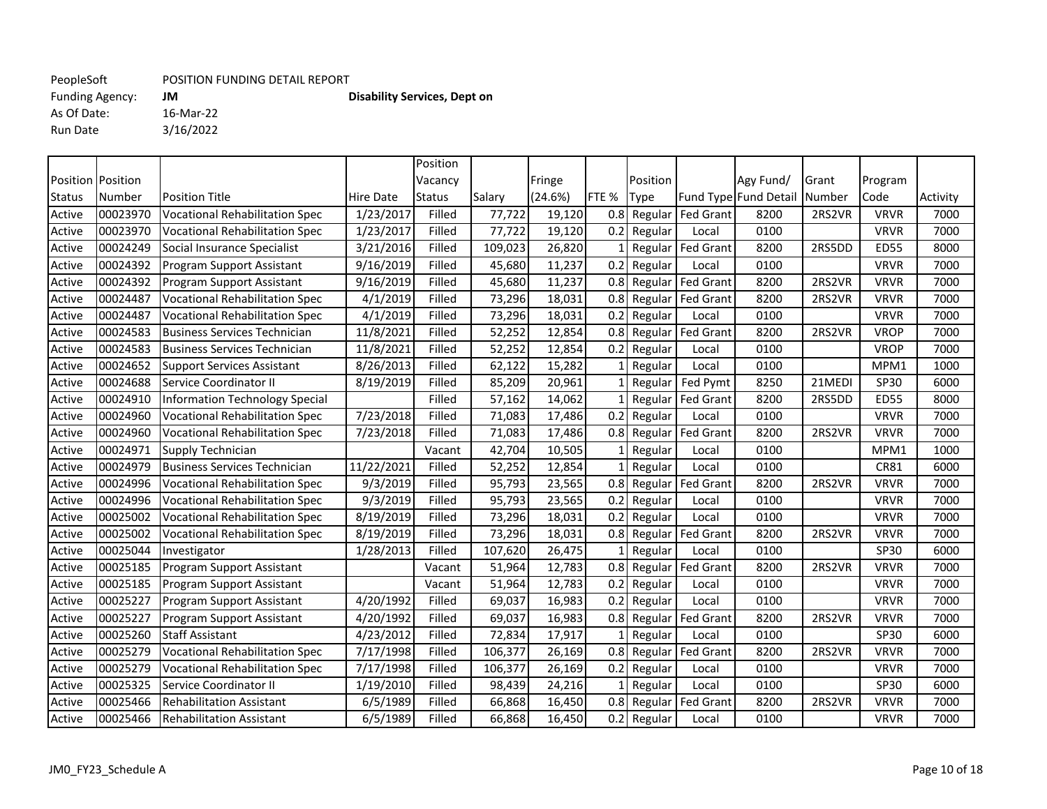As Of Date: 16-Mar-22 Run Date 3/16/2022

Funding Agency: **JM Disability Services, Dept on**

Position Position Status Number Position Title **Hire Date** Position Vacancy Status Salary Fringe (24.6%) FTE % Position Type Fund Type Fund Detail Agy Fund/ Grant Number Program Code Activity Active |00023970 |Vocational Rehabilitation Spec | 1/23/2017 | Filled | 77,722 | 19,120 | 0.8 Regular | Fed Grant | 8200 | 2RS2VR | VRVR | 7000 Active 00023970 Vocational Rehabilitation Spec | 1/23/2017 | Filled | 77,722 | 19,120 | 0.2 Regular | Local | 0100 | | | VRVR | 7000 Active 00024249 Social Insurance Specialist 3/21/2016 Filled 109,023 26,820 1 Regular Fed Grant 8200 2RS5DD ED55 8000 Active 00024392 Program Support Assistant | 9/16/2019 Filled | 45,680 11,237 0.2 Regular Local | 0100 | | VRVR | 7000 Active |00024392 |Program Support Assistant | 9/16/2019| Filled | 45,680 | 11,237 | 0.8 Regular | Fed Grant | 8200 | 2RS2VR | VRVR | 7000 Active |00024487 |Vocational Rehabilitation Spec | 4/1/2019 | Filled | 73,296 | 18,031 | 0.8 Regular Fed Grant | 8200 | 2RS2VR | VRVR | 7000 Active 00024487 Vocational Rehabilitation Spec | 4/1/2019 Filled | 73,296 18,031 0.2 Regular Local | 0100 | | VRVR | 7000 Active 00024583 Business Services Technician ( 11/8/2021 Filled | 52,252 12,854 0.8 Regular Fed Grant | 8200 | 2RS2VR | VROP | 7000 Active 00024583 Business Services Technician | 11/8/2021 Filled | 52,252 12,854 0.2 Regular Local | 0100 | | VROP | 7000 Active 00024652 Support Services Assistant | 8/26/2013 | Filled | 62,122 | 15,282 | 1 Regular | Local | 0100 | MPM1 | 1000 Active 00024688 Service Coordinator II 8/19/2019 Filled 85,209 20,961 1 Regular Fed Pymt 8250 21MEDI SP30 6000 Active 100024910 Information Technology Special 1 Filled 57,162 14,062 1 Regular Fed Grant 8200 2RS5DD ED55 8000 Active 100024960 Vocational Rehabilitation Spec 1 7/23/2018 Filled 1 71,083 17,486 0.2 Regular Local 1 0100 VRVR 1 7000 Active 100024960 Vocational Rehabilitation Spec 1 7/23/2018 Filled 1 71,083 17,486 0.8 Regular Fed Grant 8200 2RS2VR VRVR 1 7000 Active 00024971 Supply Technician | Vacant | 42,704 10,505 | 1 Regular | Local | 0100 | | MPM1 | 1000 Active 100024979 Business Services Technician 11/22/2021 Filled 1 52,252 12,854 1 Regular Local 1 0100 CR81 CR81 6000 Active 100024996 Vocational Rehabilitation Spec 19/3/2019 Filled 195,793 23,565 0.8 Regular Fed Grant 8200 2RS2VR VRVR 7000 Active 00024996 Vocational Rehabilitation Spec | 9/3/2019 Filled | 95,793 23,565 0.2 Regular Local | 0100 | | VRVR | 7000 Active 00025002 Vocational Rehabilitation Spec | 8/19/2019 | Filled | 73,296 | 18,031 | 0.2 Regular | Local | 0100 | | | VRVR | 7000 Active 00025002 Vocational Rehabilitation Spec 8/19/2019 Filled 73,296 18,031 0.8 Regular Fed Grant 8200 2RS2VR VRVR 7000 Active |00025044 |Investigator | 1/28/2013 Filled | 107,620 26,475 | 1 Regular | Local | 0100 | | SP30 | 6000 Active 00025185 Program Support Assistant Vacant | Vacant | 51,964 12,783 0.8 Regular Fed Grant | 8200 | 2RS2VR | VRVR | 7000 Active 00025185 Program Support Assistant Vacant 51,964 12,783 0.2 Regular Local 0100 VRVR 7000 Active 00025227 Program Support Assistant 4/20/1992 Filled 69,037 16,983 0.2 Regular Local 0100 VRVR 7000 Active |00025227 |Program Support Assistant | 4/20/1992| Filled | 69,037| 16,983| 0.8| Regular | Fed Grant | 8200 | 2RS2VR | VRVR | 7000 Active 00025260 Staff Assistant | 4/23/2012 Filled | 72,834 17,917 | 1 Regular | Local | 0100 | | SP30 | 6000 Active |00025279 |Vocational Rehabilitation Spec | 7/17/1998| Filled | 106,377| 26,169| 0.8| Regular | Fed Grant | 8200 | 2RS2VR | VRVR | 7000 Active 00025279 Vocational Rehabilitation Spec | 7/17/1998 | Filled | 106,377 | 26,169 | 0.2 Regular | Local | 0100 | | | VRVR | 7000 Active 00025325 Service Coordinator II | 1/19/2010 Filled | 98,439 24,216 | 1 Regular Local | 0100 | | | SP30 | 6000 Active 100025466 Rehabilitation Assistant 1 6/5/1989 Filled 1 66,868 16,450 0.8 Regular Fed Grant 8200 2RS2VR VRVR 7000 Active 00025466 Rehabilitation Assistant 1 6/5/1989 Filled 1 66,868 16,450 0.2 Regular Local 1 0100 1 1 VRVR 7000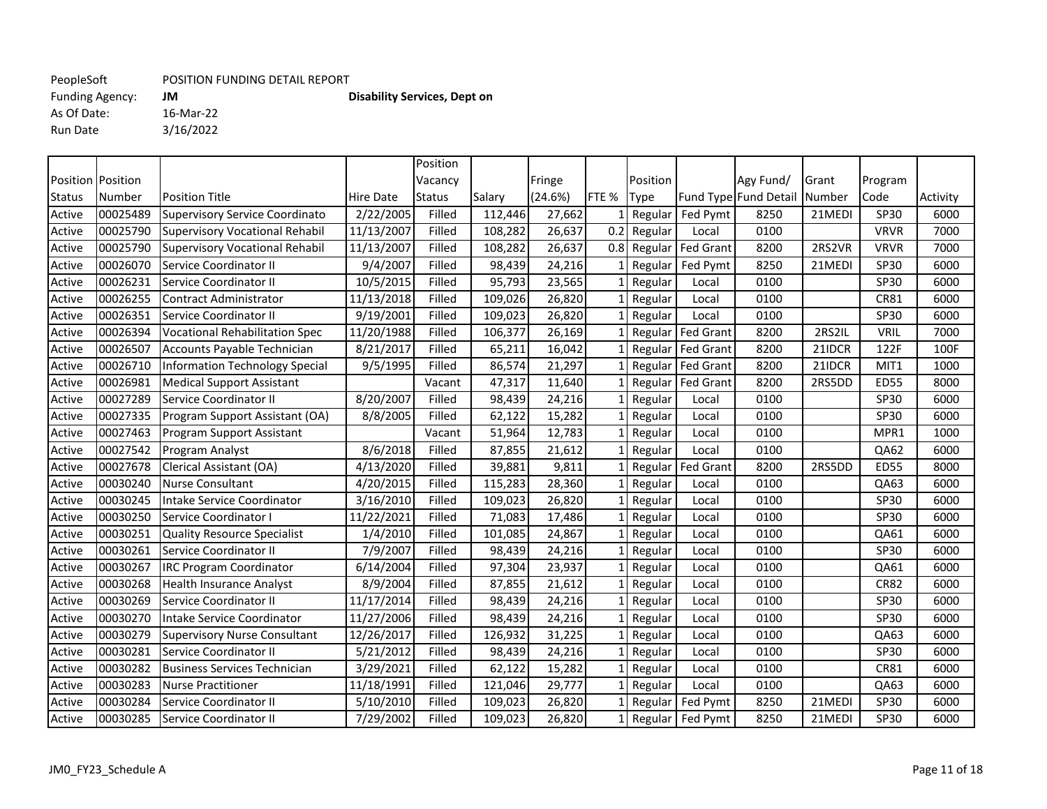Funding Agency: **JM Disability Services, Dept on**<br>As Of Date: 16-Mar-22 As Of Date:<br>Run Date 3/16/2022

| <b>Position</b> Position<br>Position<br>Vacancy<br>Agy Fund/<br>Grant<br>Program<br>Fringe<br>(24.6%)<br>FTE %<br>Fund Type Fund Detail<br>Number<br><b>Position Title</b><br><b>Hire Date</b><br>Salary<br>Number<br>Code<br>Activity<br>Status<br><b>Status</b><br><b>Type</b><br>00025489<br>Filled<br>27,662<br>8250<br>SP30<br>Active<br><b>Supervisory Service Coordinato</b><br>2/22/2005<br>112,446<br>Fed Pymt<br>21MEDI<br>6000<br>Regular<br><b>VRVR</b><br>00025790<br>11/13/2007<br>Filled<br>108,282<br>26,637<br>0.2<br>0100<br>7000<br>Active<br><b>Supervisory Vocational Rehabil</b><br>Regular<br>Local<br>Fed Grant<br>00025790<br>11/13/2007<br>Filled<br>26,637<br>0.8<br>2RS2VR<br><b>VRVR</b><br>Active<br><b>Supervisory Vocational Rehabil</b><br>108,282<br>Regular<br>8200<br>7000<br>Filled<br>8250<br>SP30<br>Active<br>00026070<br>9/4/2007<br>24,216<br>Fed Pymt<br>21MEDI<br>6000<br>Service Coordinator II<br>98,439<br>Regular<br>95,793<br>23,565<br>SP30<br>6000<br>00026231<br>10/5/2015<br>Filled<br>0100<br>Active<br>Service Coordinator II<br>Regular<br>Local<br>00026255<br>26,820<br>Active<br><b>Contract Administrator</b><br>11/13/2018<br>Filled<br>109,026<br>0100<br><b>CR81</b><br>6000<br>Regular<br>Local<br>00026351<br>9/19/2001<br>Filled<br>26,820<br>6000<br>Active<br>Service Coordinator II<br>109,023<br>0100<br>SP30<br>Regular<br>Local<br>00026394<br>11/20/1988<br>Filled<br>26,169<br>Regular Fed Grant<br>2RS2IL<br><b>VRIL</b><br>7000<br>Active<br><b>Vocational Rehabilitation Spec</b><br>106,377<br>8200<br>122F<br>00026507<br>8/21/2017<br>Filled<br>16,042<br>8200<br>21IDCR<br>100F<br>Active<br>Accounts Payable Technician<br>65,211<br>Regular Fed Grant<br>00026710<br>86,574<br>21,297<br>Active<br>Information Technology Special<br>9/5/1995<br>Filled<br>Regular Fed Grant<br>8200<br>21IDCR<br>MIT1<br>1000<br>00026981<br>11,640<br>8000<br>Active<br><b>Medical Support Assistant</b><br>47,317<br><b>Fed Grant</b><br>8200<br>2RS5DD<br><b>ED55</b><br>Vacant<br>Regular<br>00027289<br>8/20/2007<br>Filled<br>6000<br>Active<br>Service Coordinator II<br>98,439<br>24,216<br>0100<br><b>SP30</b><br>Regular<br>Local<br>00027335<br>8/8/2005<br>Filled<br>62,122<br>15,282<br>SP30<br>6000<br>Active<br>Program Support Assistant (OA)<br>0100<br>Regular<br>Local<br>12,783<br>00027463<br>MPR1<br>1000<br>Active<br><b>Program Support Assistant</b><br>51,964<br>0100<br>Vacant<br>Regular<br>Local<br>00027542<br>8/6/2018<br>87,855<br>21,612<br>6000<br>Active<br>Filled<br>0100<br>QA62<br>Program Analyst<br>Regular<br>Local<br>00027678<br>39,881<br>9,811<br>Fed Grant<br>8200<br>8000<br>Active<br>Clerical Assistant (OA)<br>4/13/2020<br>Filled<br>2RS5DD<br><b>ED55</b><br>Regular<br>00030240<br>Filled<br>115,283<br>28,360<br>6000<br>Active<br><b>Nurse Consultant</b><br>4/20/2015<br>0100<br>QA63<br>Regular<br>Local<br>3/16/2010<br>Filled<br>26,820<br>SP30<br>6000<br>00030245<br>Intake Service Coordinator<br>109,023<br>0100<br>Active<br>Local<br>Regular<br>00030250<br>11/22/2021<br>Filled<br>71,083<br>17,486<br>0100<br>SP30<br>6000<br>Active<br>Service Coordinator I<br>Regular<br>Local<br>00030251<br>1/4/2010<br>Filled<br>24,867<br>0100<br>QA61<br>6000<br>Active<br>101,085<br><b>Quality Resource Specialist</b><br>Regular<br>Local<br>00030261<br>98,439<br>24,216<br>Active<br>Service Coordinator II<br>7/9/2007<br>Filled<br>0100<br>SP30<br>6000<br>Regular<br>Local<br>00030267<br>6/14/2004<br>Filled<br>97,304<br>23,937<br>QA61<br>6000<br>Active<br><b>IRC Program Coordinator</b><br>0100<br>Regular<br>Local<br>00030268<br>8/9/2004<br>Filled<br>21,612<br><b>CR82</b><br>6000<br>87,855<br>0100<br>Active<br><b>Health Insurance Analyst</b><br>Local<br>Regular<br>00030269<br>11/17/2014<br>Filled<br>98,439<br>24,216<br>0100<br><b>SP30</b><br>6000<br>Active<br>Service Coordinator II<br>Regular<br>Local<br>00030270<br>11/27/2006<br>Filled<br>24,216<br>0100<br>SP30<br>6000<br>Active<br>Intake Service Coordinator<br>98,439<br>Regular<br>Local<br>00030279<br>126,932<br>31,225<br>Active<br><b>Supervisory Nurse Consultant</b><br>12/26/2017<br>Filled<br>0100<br>QA63<br>6000<br>Regular<br>Local<br>00030281<br>Service Coordinator II<br>5/21/2012<br>Filled<br>98,439<br>24,216<br>0100<br>SP30<br>6000<br>Active<br>Regular<br>Local<br>00030282<br>3/29/2021<br>Filled<br>15,282<br><b>CR81</b><br>6000<br><b>Business Services Technician</b><br>62,122<br>0100<br>Active<br>Regular<br>Local<br>29,777<br>QA63<br>00030283<br>11/18/1991<br>Filled<br>121,046<br>0100<br>6000<br>Active<br><b>Nurse Practitioner</b><br>Regular<br>Local<br>00030284<br>5/10/2010<br>Filled<br>26,820<br>8250<br>21MEDI<br>SP30<br>6000<br>Service Coordinator II<br>109,023<br>Regular<br>Fed Pymt<br>Active<br>7/29/2002<br>Filled<br>26,820<br>8250<br><b>SP30</b><br>6000<br>Active<br>00030285<br>Service Coordinator II<br>109,023<br>Fed Pymt<br>21MEDI<br>Regular |  |  | Position |  |  |  |  |  |
|----------------------------------------------------------------------------------------------------------------------------------------------------------------------------------------------------------------------------------------------------------------------------------------------------------------------------------------------------------------------------------------------------------------------------------------------------------------------------------------------------------------------------------------------------------------------------------------------------------------------------------------------------------------------------------------------------------------------------------------------------------------------------------------------------------------------------------------------------------------------------------------------------------------------------------------------------------------------------------------------------------------------------------------------------------------------------------------------------------------------------------------------------------------------------------------------------------------------------------------------------------------------------------------------------------------------------------------------------------------------------------------------------------------------------------------------------------------------------------------------------------------------------------------------------------------------------------------------------------------------------------------------------------------------------------------------------------------------------------------------------------------------------------------------------------------------------------------------------------------------------------------------------------------------------------------------------------------------------------------------------------------------------------------------------------------------------------------------------------------------------------------------------------------------------------------------------------------------------------------------------------------------------------------------------------------------------------------------------------------------------------------------------------------------------------------------------------------------------------------------------------------------------------------------------------------------------------------------------------------------------------------------------------------------------------------------------------------------------------------------------------------------------------------------------------------------------------------------------------------------------------------------------------------------------------------------------------------------------------------------------------------------------------------------------------------------------------------------------------------------------------------------------------------------------------------------------------------------------------------------------------------------------------------------------------------------------------------------------------------------------------------------------------------------------------------------------------------------------------------------------------------------------------------------------------------------------------------------------------------------------------------------------------------------------------------------------------------------------------------------------------------------------------------------------------------------------------------------------------------------------------------------------------------------------------------------------------------------------------------------------------------------------------------------------------------------------------------------------------------------------------------------------------------------------------------------------------------------------------------------------------------------------------------------------------------------------------------------------------------------------------------------------------------------------------------------------------------------------------------------------------------------------------------------------------------------------------------------------------------------------------------------------------------------------------------------------------------------------------------------------------------------------------------------------------------------------------------------------------------------------------------------------------------------------------------------------------------------------------------------------------------------------------------|--|--|----------|--|--|--|--|--|
|                                                                                                                                                                                                                                                                                                                                                                                                                                                                                                                                                                                                                                                                                                                                                                                                                                                                                                                                                                                                                                                                                                                                                                                                                                                                                                                                                                                                                                                                                                                                                                                                                                                                                                                                                                                                                                                                                                                                                                                                                                                                                                                                                                                                                                                                                                                                                                                                                                                                                                                                                                                                                                                                                                                                                                                                                                                                                                                                                                                                                                                                                                                                                                                                                                                                                                                                                                                                                                                                                                                                                                                                                                                                                                                                                                                                                                                                                                                                                                                                                                                                                                                                                                                                                                                                                                                                                                                                                                                                                                                                                                                                                                                                                                                                                                                                                                                                                                                                                                                                                                        |  |  |          |  |  |  |  |  |
|                                                                                                                                                                                                                                                                                                                                                                                                                                                                                                                                                                                                                                                                                                                                                                                                                                                                                                                                                                                                                                                                                                                                                                                                                                                                                                                                                                                                                                                                                                                                                                                                                                                                                                                                                                                                                                                                                                                                                                                                                                                                                                                                                                                                                                                                                                                                                                                                                                                                                                                                                                                                                                                                                                                                                                                                                                                                                                                                                                                                                                                                                                                                                                                                                                                                                                                                                                                                                                                                                                                                                                                                                                                                                                                                                                                                                                                                                                                                                                                                                                                                                                                                                                                                                                                                                                                                                                                                                                                                                                                                                                                                                                                                                                                                                                                                                                                                                                                                                                                                                                        |  |  |          |  |  |  |  |  |
|                                                                                                                                                                                                                                                                                                                                                                                                                                                                                                                                                                                                                                                                                                                                                                                                                                                                                                                                                                                                                                                                                                                                                                                                                                                                                                                                                                                                                                                                                                                                                                                                                                                                                                                                                                                                                                                                                                                                                                                                                                                                                                                                                                                                                                                                                                                                                                                                                                                                                                                                                                                                                                                                                                                                                                                                                                                                                                                                                                                                                                                                                                                                                                                                                                                                                                                                                                                                                                                                                                                                                                                                                                                                                                                                                                                                                                                                                                                                                                                                                                                                                                                                                                                                                                                                                                                                                                                                                                                                                                                                                                                                                                                                                                                                                                                                                                                                                                                                                                                                                                        |  |  |          |  |  |  |  |  |
|                                                                                                                                                                                                                                                                                                                                                                                                                                                                                                                                                                                                                                                                                                                                                                                                                                                                                                                                                                                                                                                                                                                                                                                                                                                                                                                                                                                                                                                                                                                                                                                                                                                                                                                                                                                                                                                                                                                                                                                                                                                                                                                                                                                                                                                                                                                                                                                                                                                                                                                                                                                                                                                                                                                                                                                                                                                                                                                                                                                                                                                                                                                                                                                                                                                                                                                                                                                                                                                                                                                                                                                                                                                                                                                                                                                                                                                                                                                                                                                                                                                                                                                                                                                                                                                                                                                                                                                                                                                                                                                                                                                                                                                                                                                                                                                                                                                                                                                                                                                                                                        |  |  |          |  |  |  |  |  |
|                                                                                                                                                                                                                                                                                                                                                                                                                                                                                                                                                                                                                                                                                                                                                                                                                                                                                                                                                                                                                                                                                                                                                                                                                                                                                                                                                                                                                                                                                                                                                                                                                                                                                                                                                                                                                                                                                                                                                                                                                                                                                                                                                                                                                                                                                                                                                                                                                                                                                                                                                                                                                                                                                                                                                                                                                                                                                                                                                                                                                                                                                                                                                                                                                                                                                                                                                                                                                                                                                                                                                                                                                                                                                                                                                                                                                                                                                                                                                                                                                                                                                                                                                                                                                                                                                                                                                                                                                                                                                                                                                                                                                                                                                                                                                                                                                                                                                                                                                                                                                                        |  |  |          |  |  |  |  |  |
|                                                                                                                                                                                                                                                                                                                                                                                                                                                                                                                                                                                                                                                                                                                                                                                                                                                                                                                                                                                                                                                                                                                                                                                                                                                                                                                                                                                                                                                                                                                                                                                                                                                                                                                                                                                                                                                                                                                                                                                                                                                                                                                                                                                                                                                                                                                                                                                                                                                                                                                                                                                                                                                                                                                                                                                                                                                                                                                                                                                                                                                                                                                                                                                                                                                                                                                                                                                                                                                                                                                                                                                                                                                                                                                                                                                                                                                                                                                                                                                                                                                                                                                                                                                                                                                                                                                                                                                                                                                                                                                                                                                                                                                                                                                                                                                                                                                                                                                                                                                                                                        |  |  |          |  |  |  |  |  |
|                                                                                                                                                                                                                                                                                                                                                                                                                                                                                                                                                                                                                                                                                                                                                                                                                                                                                                                                                                                                                                                                                                                                                                                                                                                                                                                                                                                                                                                                                                                                                                                                                                                                                                                                                                                                                                                                                                                                                                                                                                                                                                                                                                                                                                                                                                                                                                                                                                                                                                                                                                                                                                                                                                                                                                                                                                                                                                                                                                                                                                                                                                                                                                                                                                                                                                                                                                                                                                                                                                                                                                                                                                                                                                                                                                                                                                                                                                                                                                                                                                                                                                                                                                                                                                                                                                                                                                                                                                                                                                                                                                                                                                                                                                                                                                                                                                                                                                                                                                                                                                        |  |  |          |  |  |  |  |  |
|                                                                                                                                                                                                                                                                                                                                                                                                                                                                                                                                                                                                                                                                                                                                                                                                                                                                                                                                                                                                                                                                                                                                                                                                                                                                                                                                                                                                                                                                                                                                                                                                                                                                                                                                                                                                                                                                                                                                                                                                                                                                                                                                                                                                                                                                                                                                                                                                                                                                                                                                                                                                                                                                                                                                                                                                                                                                                                                                                                                                                                                                                                                                                                                                                                                                                                                                                                                                                                                                                                                                                                                                                                                                                                                                                                                                                                                                                                                                                                                                                                                                                                                                                                                                                                                                                                                                                                                                                                                                                                                                                                                                                                                                                                                                                                                                                                                                                                                                                                                                                                        |  |  |          |  |  |  |  |  |
|                                                                                                                                                                                                                                                                                                                                                                                                                                                                                                                                                                                                                                                                                                                                                                                                                                                                                                                                                                                                                                                                                                                                                                                                                                                                                                                                                                                                                                                                                                                                                                                                                                                                                                                                                                                                                                                                                                                                                                                                                                                                                                                                                                                                                                                                                                                                                                                                                                                                                                                                                                                                                                                                                                                                                                                                                                                                                                                                                                                                                                                                                                                                                                                                                                                                                                                                                                                                                                                                                                                                                                                                                                                                                                                                                                                                                                                                                                                                                                                                                                                                                                                                                                                                                                                                                                                                                                                                                                                                                                                                                                                                                                                                                                                                                                                                                                                                                                                                                                                                                                        |  |  |          |  |  |  |  |  |
|                                                                                                                                                                                                                                                                                                                                                                                                                                                                                                                                                                                                                                                                                                                                                                                                                                                                                                                                                                                                                                                                                                                                                                                                                                                                                                                                                                                                                                                                                                                                                                                                                                                                                                                                                                                                                                                                                                                                                                                                                                                                                                                                                                                                                                                                                                                                                                                                                                                                                                                                                                                                                                                                                                                                                                                                                                                                                                                                                                                                                                                                                                                                                                                                                                                                                                                                                                                                                                                                                                                                                                                                                                                                                                                                                                                                                                                                                                                                                                                                                                                                                                                                                                                                                                                                                                                                                                                                                                                                                                                                                                                                                                                                                                                                                                                                                                                                                                                                                                                                                                        |  |  |          |  |  |  |  |  |
|                                                                                                                                                                                                                                                                                                                                                                                                                                                                                                                                                                                                                                                                                                                                                                                                                                                                                                                                                                                                                                                                                                                                                                                                                                                                                                                                                                                                                                                                                                                                                                                                                                                                                                                                                                                                                                                                                                                                                                                                                                                                                                                                                                                                                                                                                                                                                                                                                                                                                                                                                                                                                                                                                                                                                                                                                                                                                                                                                                                                                                                                                                                                                                                                                                                                                                                                                                                                                                                                                                                                                                                                                                                                                                                                                                                                                                                                                                                                                                                                                                                                                                                                                                                                                                                                                                                                                                                                                                                                                                                                                                                                                                                                                                                                                                                                                                                                                                                                                                                                                                        |  |  |          |  |  |  |  |  |
|                                                                                                                                                                                                                                                                                                                                                                                                                                                                                                                                                                                                                                                                                                                                                                                                                                                                                                                                                                                                                                                                                                                                                                                                                                                                                                                                                                                                                                                                                                                                                                                                                                                                                                                                                                                                                                                                                                                                                                                                                                                                                                                                                                                                                                                                                                                                                                                                                                                                                                                                                                                                                                                                                                                                                                                                                                                                                                                                                                                                                                                                                                                                                                                                                                                                                                                                                                                                                                                                                                                                                                                                                                                                                                                                                                                                                                                                                                                                                                                                                                                                                                                                                                                                                                                                                                                                                                                                                                                                                                                                                                                                                                                                                                                                                                                                                                                                                                                                                                                                                                        |  |  |          |  |  |  |  |  |
|                                                                                                                                                                                                                                                                                                                                                                                                                                                                                                                                                                                                                                                                                                                                                                                                                                                                                                                                                                                                                                                                                                                                                                                                                                                                                                                                                                                                                                                                                                                                                                                                                                                                                                                                                                                                                                                                                                                                                                                                                                                                                                                                                                                                                                                                                                                                                                                                                                                                                                                                                                                                                                                                                                                                                                                                                                                                                                                                                                                                                                                                                                                                                                                                                                                                                                                                                                                                                                                                                                                                                                                                                                                                                                                                                                                                                                                                                                                                                                                                                                                                                                                                                                                                                                                                                                                                                                                                                                                                                                                                                                                                                                                                                                                                                                                                                                                                                                                                                                                                                                        |  |  |          |  |  |  |  |  |
|                                                                                                                                                                                                                                                                                                                                                                                                                                                                                                                                                                                                                                                                                                                                                                                                                                                                                                                                                                                                                                                                                                                                                                                                                                                                                                                                                                                                                                                                                                                                                                                                                                                                                                                                                                                                                                                                                                                                                                                                                                                                                                                                                                                                                                                                                                                                                                                                                                                                                                                                                                                                                                                                                                                                                                                                                                                                                                                                                                                                                                                                                                                                                                                                                                                                                                                                                                                                                                                                                                                                                                                                                                                                                                                                                                                                                                                                                                                                                                                                                                                                                                                                                                                                                                                                                                                                                                                                                                                                                                                                                                                                                                                                                                                                                                                                                                                                                                                                                                                                                                        |  |  |          |  |  |  |  |  |
|                                                                                                                                                                                                                                                                                                                                                                                                                                                                                                                                                                                                                                                                                                                                                                                                                                                                                                                                                                                                                                                                                                                                                                                                                                                                                                                                                                                                                                                                                                                                                                                                                                                                                                                                                                                                                                                                                                                                                                                                                                                                                                                                                                                                                                                                                                                                                                                                                                                                                                                                                                                                                                                                                                                                                                                                                                                                                                                                                                                                                                                                                                                                                                                                                                                                                                                                                                                                                                                                                                                                                                                                                                                                                                                                                                                                                                                                                                                                                                                                                                                                                                                                                                                                                                                                                                                                                                                                                                                                                                                                                                                                                                                                                                                                                                                                                                                                                                                                                                                                                                        |  |  |          |  |  |  |  |  |
|                                                                                                                                                                                                                                                                                                                                                                                                                                                                                                                                                                                                                                                                                                                                                                                                                                                                                                                                                                                                                                                                                                                                                                                                                                                                                                                                                                                                                                                                                                                                                                                                                                                                                                                                                                                                                                                                                                                                                                                                                                                                                                                                                                                                                                                                                                                                                                                                                                                                                                                                                                                                                                                                                                                                                                                                                                                                                                                                                                                                                                                                                                                                                                                                                                                                                                                                                                                                                                                                                                                                                                                                                                                                                                                                                                                                                                                                                                                                                                                                                                                                                                                                                                                                                                                                                                                                                                                                                                                                                                                                                                                                                                                                                                                                                                                                                                                                                                                                                                                                                                        |  |  |          |  |  |  |  |  |
|                                                                                                                                                                                                                                                                                                                                                                                                                                                                                                                                                                                                                                                                                                                                                                                                                                                                                                                                                                                                                                                                                                                                                                                                                                                                                                                                                                                                                                                                                                                                                                                                                                                                                                                                                                                                                                                                                                                                                                                                                                                                                                                                                                                                                                                                                                                                                                                                                                                                                                                                                                                                                                                                                                                                                                                                                                                                                                                                                                                                                                                                                                                                                                                                                                                                                                                                                                                                                                                                                                                                                                                                                                                                                                                                                                                                                                                                                                                                                                                                                                                                                                                                                                                                                                                                                                                                                                                                                                                                                                                                                                                                                                                                                                                                                                                                                                                                                                                                                                                                                                        |  |  |          |  |  |  |  |  |
|                                                                                                                                                                                                                                                                                                                                                                                                                                                                                                                                                                                                                                                                                                                                                                                                                                                                                                                                                                                                                                                                                                                                                                                                                                                                                                                                                                                                                                                                                                                                                                                                                                                                                                                                                                                                                                                                                                                                                                                                                                                                                                                                                                                                                                                                                                                                                                                                                                                                                                                                                                                                                                                                                                                                                                                                                                                                                                                                                                                                                                                                                                                                                                                                                                                                                                                                                                                                                                                                                                                                                                                                                                                                                                                                                                                                                                                                                                                                                                                                                                                                                                                                                                                                                                                                                                                                                                                                                                                                                                                                                                                                                                                                                                                                                                                                                                                                                                                                                                                                                                        |  |  |          |  |  |  |  |  |
|                                                                                                                                                                                                                                                                                                                                                                                                                                                                                                                                                                                                                                                                                                                                                                                                                                                                                                                                                                                                                                                                                                                                                                                                                                                                                                                                                                                                                                                                                                                                                                                                                                                                                                                                                                                                                                                                                                                                                                                                                                                                                                                                                                                                                                                                                                                                                                                                                                                                                                                                                                                                                                                                                                                                                                                                                                                                                                                                                                                                                                                                                                                                                                                                                                                                                                                                                                                                                                                                                                                                                                                                                                                                                                                                                                                                                                                                                                                                                                                                                                                                                                                                                                                                                                                                                                                                                                                                                                                                                                                                                                                                                                                                                                                                                                                                                                                                                                                                                                                                                                        |  |  |          |  |  |  |  |  |
|                                                                                                                                                                                                                                                                                                                                                                                                                                                                                                                                                                                                                                                                                                                                                                                                                                                                                                                                                                                                                                                                                                                                                                                                                                                                                                                                                                                                                                                                                                                                                                                                                                                                                                                                                                                                                                                                                                                                                                                                                                                                                                                                                                                                                                                                                                                                                                                                                                                                                                                                                                                                                                                                                                                                                                                                                                                                                                                                                                                                                                                                                                                                                                                                                                                                                                                                                                                                                                                                                                                                                                                                                                                                                                                                                                                                                                                                                                                                                                                                                                                                                                                                                                                                                                                                                                                                                                                                                                                                                                                                                                                                                                                                                                                                                                                                                                                                                                                                                                                                                                        |  |  |          |  |  |  |  |  |
|                                                                                                                                                                                                                                                                                                                                                                                                                                                                                                                                                                                                                                                                                                                                                                                                                                                                                                                                                                                                                                                                                                                                                                                                                                                                                                                                                                                                                                                                                                                                                                                                                                                                                                                                                                                                                                                                                                                                                                                                                                                                                                                                                                                                                                                                                                                                                                                                                                                                                                                                                                                                                                                                                                                                                                                                                                                                                                                                                                                                                                                                                                                                                                                                                                                                                                                                                                                                                                                                                                                                                                                                                                                                                                                                                                                                                                                                                                                                                                                                                                                                                                                                                                                                                                                                                                                                                                                                                                                                                                                                                                                                                                                                                                                                                                                                                                                                                                                                                                                                                                        |  |  |          |  |  |  |  |  |
|                                                                                                                                                                                                                                                                                                                                                                                                                                                                                                                                                                                                                                                                                                                                                                                                                                                                                                                                                                                                                                                                                                                                                                                                                                                                                                                                                                                                                                                                                                                                                                                                                                                                                                                                                                                                                                                                                                                                                                                                                                                                                                                                                                                                                                                                                                                                                                                                                                                                                                                                                                                                                                                                                                                                                                                                                                                                                                                                                                                                                                                                                                                                                                                                                                                                                                                                                                                                                                                                                                                                                                                                                                                                                                                                                                                                                                                                                                                                                                                                                                                                                                                                                                                                                                                                                                                                                                                                                                                                                                                                                                                                                                                                                                                                                                                                                                                                                                                                                                                                                                        |  |  |          |  |  |  |  |  |
|                                                                                                                                                                                                                                                                                                                                                                                                                                                                                                                                                                                                                                                                                                                                                                                                                                                                                                                                                                                                                                                                                                                                                                                                                                                                                                                                                                                                                                                                                                                                                                                                                                                                                                                                                                                                                                                                                                                                                                                                                                                                                                                                                                                                                                                                                                                                                                                                                                                                                                                                                                                                                                                                                                                                                                                                                                                                                                                                                                                                                                                                                                                                                                                                                                                                                                                                                                                                                                                                                                                                                                                                                                                                                                                                                                                                                                                                                                                                                                                                                                                                                                                                                                                                                                                                                                                                                                                                                                                                                                                                                                                                                                                                                                                                                                                                                                                                                                                                                                                                                                        |  |  |          |  |  |  |  |  |
|                                                                                                                                                                                                                                                                                                                                                                                                                                                                                                                                                                                                                                                                                                                                                                                                                                                                                                                                                                                                                                                                                                                                                                                                                                                                                                                                                                                                                                                                                                                                                                                                                                                                                                                                                                                                                                                                                                                                                                                                                                                                                                                                                                                                                                                                                                                                                                                                                                                                                                                                                                                                                                                                                                                                                                                                                                                                                                                                                                                                                                                                                                                                                                                                                                                                                                                                                                                                                                                                                                                                                                                                                                                                                                                                                                                                                                                                                                                                                                                                                                                                                                                                                                                                                                                                                                                                                                                                                                                                                                                                                                                                                                                                                                                                                                                                                                                                                                                                                                                                                                        |  |  |          |  |  |  |  |  |
|                                                                                                                                                                                                                                                                                                                                                                                                                                                                                                                                                                                                                                                                                                                                                                                                                                                                                                                                                                                                                                                                                                                                                                                                                                                                                                                                                                                                                                                                                                                                                                                                                                                                                                                                                                                                                                                                                                                                                                                                                                                                                                                                                                                                                                                                                                                                                                                                                                                                                                                                                                                                                                                                                                                                                                                                                                                                                                                                                                                                                                                                                                                                                                                                                                                                                                                                                                                                                                                                                                                                                                                                                                                                                                                                                                                                                                                                                                                                                                                                                                                                                                                                                                                                                                                                                                                                                                                                                                                                                                                                                                                                                                                                                                                                                                                                                                                                                                                                                                                                                                        |  |  |          |  |  |  |  |  |
|                                                                                                                                                                                                                                                                                                                                                                                                                                                                                                                                                                                                                                                                                                                                                                                                                                                                                                                                                                                                                                                                                                                                                                                                                                                                                                                                                                                                                                                                                                                                                                                                                                                                                                                                                                                                                                                                                                                                                                                                                                                                                                                                                                                                                                                                                                                                                                                                                                                                                                                                                                                                                                                                                                                                                                                                                                                                                                                                                                                                                                                                                                                                                                                                                                                                                                                                                                                                                                                                                                                                                                                                                                                                                                                                                                                                                                                                                                                                                                                                                                                                                                                                                                                                                                                                                                                                                                                                                                                                                                                                                                                                                                                                                                                                                                                                                                                                                                                                                                                                                                        |  |  |          |  |  |  |  |  |
|                                                                                                                                                                                                                                                                                                                                                                                                                                                                                                                                                                                                                                                                                                                                                                                                                                                                                                                                                                                                                                                                                                                                                                                                                                                                                                                                                                                                                                                                                                                                                                                                                                                                                                                                                                                                                                                                                                                                                                                                                                                                                                                                                                                                                                                                                                                                                                                                                                                                                                                                                                                                                                                                                                                                                                                                                                                                                                                                                                                                                                                                                                                                                                                                                                                                                                                                                                                                                                                                                                                                                                                                                                                                                                                                                                                                                                                                                                                                                                                                                                                                                                                                                                                                                                                                                                                                                                                                                                                                                                                                                                                                                                                                                                                                                                                                                                                                                                                                                                                                                                        |  |  |          |  |  |  |  |  |
|                                                                                                                                                                                                                                                                                                                                                                                                                                                                                                                                                                                                                                                                                                                                                                                                                                                                                                                                                                                                                                                                                                                                                                                                                                                                                                                                                                                                                                                                                                                                                                                                                                                                                                                                                                                                                                                                                                                                                                                                                                                                                                                                                                                                                                                                                                                                                                                                                                                                                                                                                                                                                                                                                                                                                                                                                                                                                                                                                                                                                                                                                                                                                                                                                                                                                                                                                                                                                                                                                                                                                                                                                                                                                                                                                                                                                                                                                                                                                                                                                                                                                                                                                                                                                                                                                                                                                                                                                                                                                                                                                                                                                                                                                                                                                                                                                                                                                                                                                                                                                                        |  |  |          |  |  |  |  |  |
|                                                                                                                                                                                                                                                                                                                                                                                                                                                                                                                                                                                                                                                                                                                                                                                                                                                                                                                                                                                                                                                                                                                                                                                                                                                                                                                                                                                                                                                                                                                                                                                                                                                                                                                                                                                                                                                                                                                                                                                                                                                                                                                                                                                                                                                                                                                                                                                                                                                                                                                                                                                                                                                                                                                                                                                                                                                                                                                                                                                                                                                                                                                                                                                                                                                                                                                                                                                                                                                                                                                                                                                                                                                                                                                                                                                                                                                                                                                                                                                                                                                                                                                                                                                                                                                                                                                                                                                                                                                                                                                                                                                                                                                                                                                                                                                                                                                                                                                                                                                                                                        |  |  |          |  |  |  |  |  |
|                                                                                                                                                                                                                                                                                                                                                                                                                                                                                                                                                                                                                                                                                                                                                                                                                                                                                                                                                                                                                                                                                                                                                                                                                                                                                                                                                                                                                                                                                                                                                                                                                                                                                                                                                                                                                                                                                                                                                                                                                                                                                                                                                                                                                                                                                                                                                                                                                                                                                                                                                                                                                                                                                                                                                                                                                                                                                                                                                                                                                                                                                                                                                                                                                                                                                                                                                                                                                                                                                                                                                                                                                                                                                                                                                                                                                                                                                                                                                                                                                                                                                                                                                                                                                                                                                                                                                                                                                                                                                                                                                                                                                                                                                                                                                                                                                                                                                                                                                                                                                                        |  |  |          |  |  |  |  |  |
|                                                                                                                                                                                                                                                                                                                                                                                                                                                                                                                                                                                                                                                                                                                                                                                                                                                                                                                                                                                                                                                                                                                                                                                                                                                                                                                                                                                                                                                                                                                                                                                                                                                                                                                                                                                                                                                                                                                                                                                                                                                                                                                                                                                                                                                                                                                                                                                                                                                                                                                                                                                                                                                                                                                                                                                                                                                                                                                                                                                                                                                                                                                                                                                                                                                                                                                                                                                                                                                                                                                                                                                                                                                                                                                                                                                                                                                                                                                                                                                                                                                                                                                                                                                                                                                                                                                                                                                                                                                                                                                                                                                                                                                                                                                                                                                                                                                                                                                                                                                                                                        |  |  |          |  |  |  |  |  |
|                                                                                                                                                                                                                                                                                                                                                                                                                                                                                                                                                                                                                                                                                                                                                                                                                                                                                                                                                                                                                                                                                                                                                                                                                                                                                                                                                                                                                                                                                                                                                                                                                                                                                                                                                                                                                                                                                                                                                                                                                                                                                                                                                                                                                                                                                                                                                                                                                                                                                                                                                                                                                                                                                                                                                                                                                                                                                                                                                                                                                                                                                                                                                                                                                                                                                                                                                                                                                                                                                                                                                                                                                                                                                                                                                                                                                                                                                                                                                                                                                                                                                                                                                                                                                                                                                                                                                                                                                                                                                                                                                                                                                                                                                                                                                                                                                                                                                                                                                                                                                                        |  |  |          |  |  |  |  |  |
|                                                                                                                                                                                                                                                                                                                                                                                                                                                                                                                                                                                                                                                                                                                                                                                                                                                                                                                                                                                                                                                                                                                                                                                                                                                                                                                                                                                                                                                                                                                                                                                                                                                                                                                                                                                                                                                                                                                                                                                                                                                                                                                                                                                                                                                                                                                                                                                                                                                                                                                                                                                                                                                                                                                                                                                                                                                                                                                                                                                                                                                                                                                                                                                                                                                                                                                                                                                                                                                                                                                                                                                                                                                                                                                                                                                                                                                                                                                                                                                                                                                                                                                                                                                                                                                                                                                                                                                                                                                                                                                                                                                                                                                                                                                                                                                                                                                                                                                                                                                                                                        |  |  |          |  |  |  |  |  |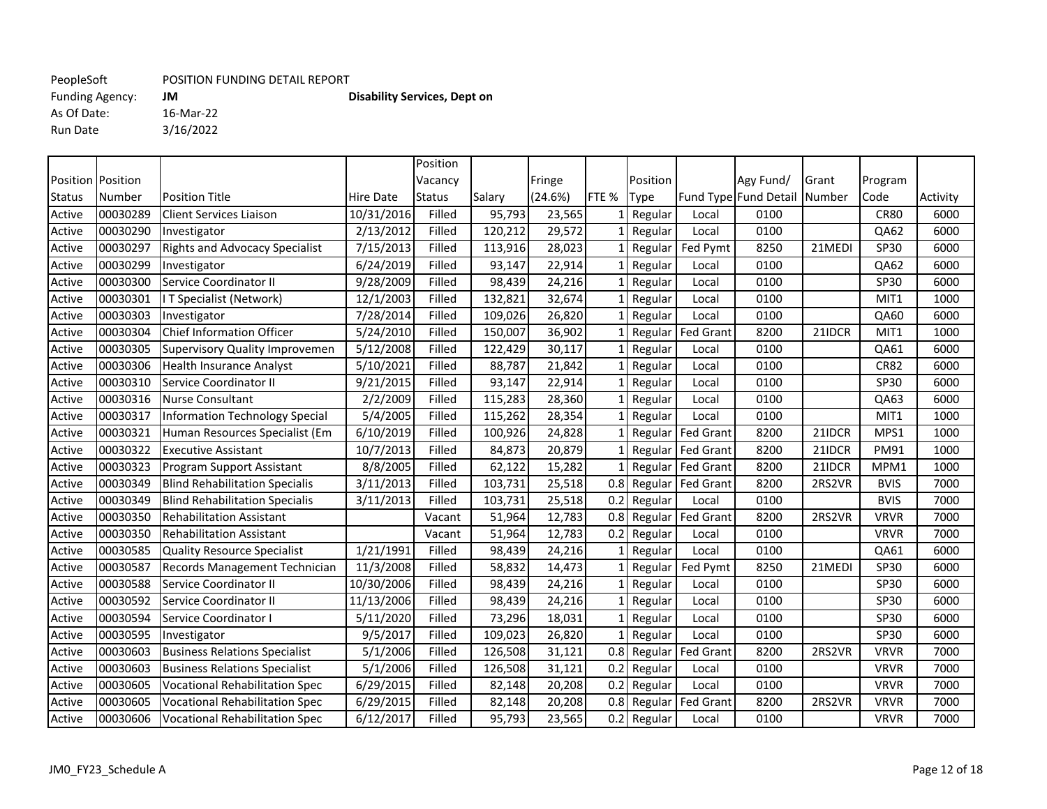As Of Date: 16-Mar-22 Run Date 3/16/2022

Funding Agency: **JM Disability Services, Dept on**

Position Position Status Number Position Title **Hire Date** Position Vacancy Status Salary Fringe (24.6%) FTE % Position Type Fund Type Fund Detail Agy Fund/ Grant Number Program Code Activity Active 00030289 Client Services Liaison 10/31/2016 Filled 95,793 23,565 1 Regular Local 0100 CR80 6000 CR80 6000 Active |00030290 |Investigator | 2/13/2012 Filled | 120,212 | 29,572 | 1 Regular | Local | 0100 | | QA62 | 6000 Active 00030297 Rights and Advocacy Specialist | 7/15/2013 | Filled | 113,916 | 28,023 | 1 Regular | Fed Pymt | 8250 | 21MEDI | SP30 | 6000 Active |00030299 |Investigator | 6/24/2019| Filled | 93,147| 22,914| 1| Regular | Local | 0100 | | QA62 | 6000 Active |00030300 |Service Coordinator II | 9/28/2009| Filled | 98,439| 24,216| 1|Regular |Local | 0100 | | | SP30 | 6000 Active 00030301 |ITSpecialist (Network) | 12/1/2003 Filled | 132,821 32,674 | 1 Regular | Local | 0100 | MIT1 | 1000 Active |00030303 |Investigator | 7/28/2014| Filled | 109,026| 26,820| 1| Regular | Local | 0100 | | QA60 | 6000 Active 00030304 Chief Information Officer 5/24/2010 Filled 150,007 36,902 1 Regular Fed Grant 8200 21IDCR MIT1 1000 Active 00030305 Supervisory Quality Improvemen | 5/12/2008 | Filled | 122,429 | 30,117 | 1 Regular | Local | 0100 | | | QA61 | 6000 Active 00030306 Health Insurance Analyst 5/10/2021 Filled 88,787 21,842 1 Regular Local 0100 CR82 6000 Active 00030310 Service Coordinator II | 9/21/2015 Filled | 93,147 | 22,914 | 1 Regular | Local | 0100 | | | SP30 | 6000 Active 00030316 Nurse Consultant 1 (2/2/2009 Filled 115,283 28,360 1 Regular Local 0100 | QA63 6000 Active 00030317 Information Technology Special | 5/4/2005 | Filled | 115,262 | 28,354 | 1 Regular | Local | 0100 | MIT1 | 1000 | MIT1 | 1000 | MIT1 | 1000 | MIT1 | 1000 | MIT1 | 1000 | MIT1 | 1000 | MIT1 | 1000 | MIT1 | 10 Active 00030321 Human Resources Specialist (Em 6/10/2019 Filled 100,926 24,828 1 Regular Fed Grant 8200 21IDCR MPS1 1000 Active |00030322 |Executive Assistant | 10/7/2013 | Filled | 84,873 | 20,879 | 1 Regular | Fed Grant | 8200 | 21IDCR | PM91 | 1000 Active 100030323 Program Support Assistant 1 8/8/2005 Filled 1 62,122 15,282 1 Regular Fed Grant 8200 21IDCR MPM1 1000 Active 00030349 Blind Rehabilitation Specialis 3/11/2013 Filled 103,731 25,518 0.8 Regular Fed Grant 8200 2RS2VR BVIS 7000 Active 00030349 Blind Rehabilitation Specialis (2011/2013 Filled 103,731 25,518 0.2 Regular Local 0100 BVIS 8VIS 7000 Active 100030350 Rehabilitation Assistant Vacant 1 Vacant 1 51,964 12,783 0.8 Regular Fed Grant 8200 2RS2VR VRVR 1 7000 Active 00030350 Rehabilitation Assistant ( | | | | Vacant | 51,964 12,783 0.2 Regular Local | 0100 | | VRVR | 7000 Active 00030585 Quality Resource Specialist | 1/21/1991 Filled | 98,439 24,216 | 1 Regular | Local | 0100 | | | QA61 | 6000 Active |00030587 |Records Management Technician | 11/3/2008| Filled | 58,832 | 14,473 | 1 | Regular | Fed Pymt | 8250 | 21MEDI | SP30 | 6000 Active 00030588 Service Coordinator II | 10/30/2006 Filled | 98,439 24,216 | 1 Regular Local | 0100 | | | SP30 | 6000 Active 00030592 Service Coordinator II | 11/13/2006 Filled | 98,439 24,216 | 1 Regular Local | 0100 | | | SP30 | 6000 Active 00030594 Service Coordinator I | 5/11/2020 Filled | 73,296 18,031 | 1 Regular | Local | 0100 | | SP30 | 6000 Active |00030595 |Investigator | 9/5/2017| Filled | 109,023| 26,820| 1| Regular | Local | 0100 | | SP30 | 6000 Active (00030603 |Business Relations Specialist | 5/1/2006 | Filled | 126,508 | 31,121 | 0.8 Regular Fed Grant | 8200 | 2RS2VR | VRVR | 7000 Active 00030603 Business Relations Specialist | 5/1/2006 Filled | 126,508 31,121 0.2 Regular Local | 0100 | | VRVR | 7000 Active 00030605 Vocational Rehabilitation Spec | 6/29/2015 | Filled | 82,148 | 20,208 0.2 Regular Local | 0100 | | VRVR | 7000 Active (00030605 Vocational Rehabilitation Spec (6/29/2015 Filled | 82,148 20,208 0.8 Regular Fed Grant | 8200 2RS2VR | VRVR | 7000 Active 00030606 Vocational Rehabilitation Spec (6/12/2017) Filled (95,793 23,565 0.2 Regular Local 0100 VAVR 7000 VRVR 7000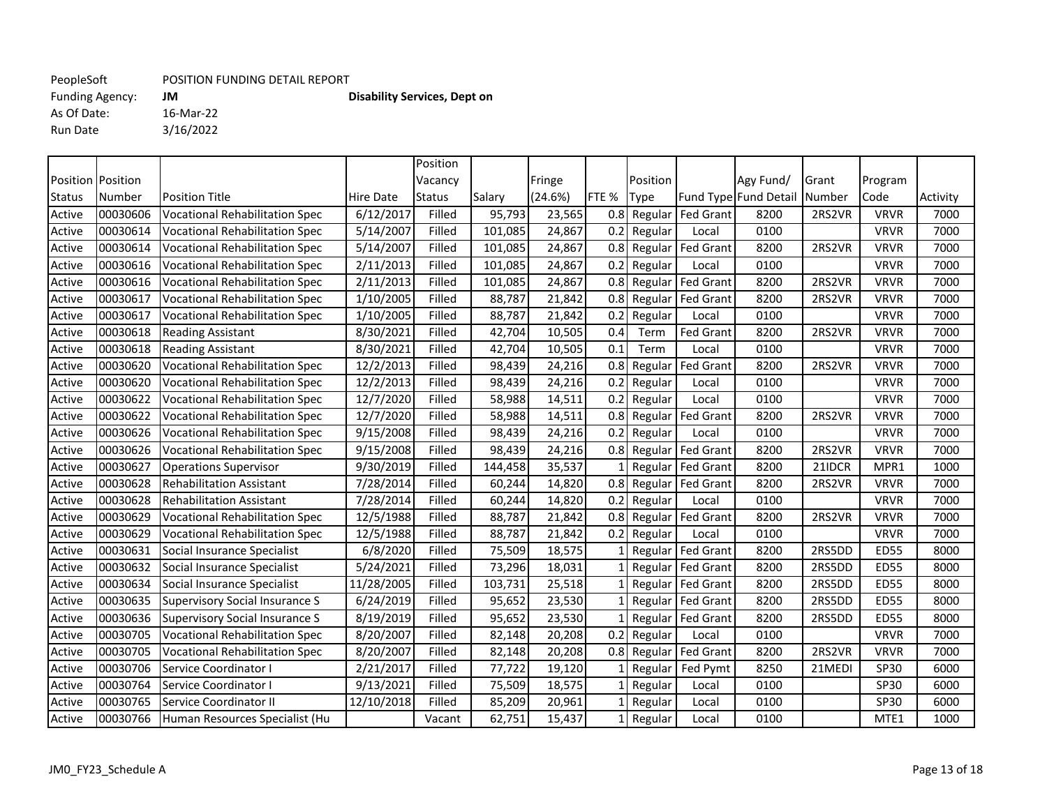Funding Agency: **JM Disability Services, Dept on**<br>As Of Date: 16-Mar-22 As Of Date: Run Date 3/16/2022

|        |                     |                                       |                  | Position      |         |         |              |             |                       |                       |        |             |          |
|--------|---------------------|---------------------------------------|------------------|---------------|---------|---------|--------------|-------------|-----------------------|-----------------------|--------|-------------|----------|
|        | Position   Position |                                       |                  | Vacancy       |         | Fringe  |              | Position    |                       | Agy Fund/             | Grant  | Program     |          |
| Status | Number              | <b>Position Title</b>                 | <b>Hire Date</b> | <b>Status</b> | Salary  | (24.6%) | FTE %        | <b>Type</b> |                       | Fund Type Fund Detail | Number | Code        | Activity |
| Active | 00030606            | <b>Vocational Rehabilitation Spec</b> | 6/12/2017        | Filled        | 95,793  | 23,565  | 0.8          | Regular     | <b>Fed Grant</b>      | 8200                  | 2RS2VR | <b>VRVR</b> | 7000     |
| Active | 00030614            | <b>Vocational Rehabilitation Spec</b> | 5/14/2007        | Filled        | 101,085 | 24,867  | 0.2          | Regular     | Local                 | 0100                  |        | <b>VRVR</b> | 7000     |
| Active | 00030614            | <b>Vocational Rehabilitation Spec</b> | 5/14/2007        | Filled        | 101,085 | 24,867  | 0.8          | Regular     | <b>Fed Grant</b>      | 8200                  | 2RS2VR | <b>VRVR</b> | 7000     |
| Active | 00030616            | <b>Vocational Rehabilitation Spec</b> | 2/11/2013        | Filled        | 101,085 | 24,867  | 0.2          | Regular     | Local                 | 0100                  |        | <b>VRVR</b> | 7000     |
| Active | 00030616            | <b>Vocational Rehabilitation Spec</b> | 2/11/2013        | Filled        | 101,085 | 24,867  | 0.8          |             | Regular Fed Grant     | 8200                  | 2RS2VR | <b>VRVR</b> | 7000     |
| Active | 00030617            | <b>Vocational Rehabilitation Spec</b> | 1/10/2005        | Filled        | 88,787  | 21,842  |              |             | 0.8 Regular Fed Grant | 8200                  | 2RS2VR | <b>VRVR</b> | 7000     |
| Active | 00030617            | <b>Vocational Rehabilitation Spec</b> | 1/10/2005        | Filled        | 88,787  | 21,842  | 0.2          | Regular     | Local                 | 0100                  |        | <b>VRVR</b> | 7000     |
| Active | 00030618            | <b>Reading Assistant</b>              | 8/30/2021        | Filled        | 42,704  | 10,505  | 0.4          | Term        | Fed Grant             | 8200                  | 2RS2VR | <b>VRVR</b> | 7000     |
| Active | 00030618            | <b>Reading Assistant</b>              | 8/30/2021        | Filled        | 42,704  | 10,505  | 0.1          | Term        | Local                 | 0100                  |        | <b>VRVR</b> | 7000     |
| Active | 00030620            | <b>Vocational Rehabilitation Spec</b> | 12/2/2013        | Filled        | 98,439  | 24,216  | 0.8          | Regular     | <b>Fed Grant</b>      | 8200                  | 2RS2VR | <b>VRVR</b> | 7000     |
| Active | 00030620            | <b>Vocational Rehabilitation Spec</b> | 12/2/2013        | Filled        | 98,439  | 24,216  | 0.2          | Regular     | Local                 | 0100                  |        | <b>VRVR</b> | 7000     |
| Active | 00030622            | <b>Vocational Rehabilitation Spec</b> | 12/7/2020        | Filled        | 58,988  | 14,511  | 0.2          | Regular     | Local                 | 0100                  |        | <b>VRVR</b> | 7000     |
| Active | 00030622            | <b>Vocational Rehabilitation Spec</b> | 12/7/2020        | Filled        | 58,988  | 14,511  | 0.8          | Regular     | Fed Grant             | 8200                  | 2RS2VR | <b>VRVR</b> | 7000     |
| Active | 00030626            | <b>Vocational Rehabilitation Spec</b> | 9/15/2008        | Filled        | 98,439  | 24,216  | 0.2          | Regular     | Local                 | 0100                  |        | <b>VRVR</b> | 7000     |
| Active | 00030626            | <b>Vocational Rehabilitation Spec</b> | 9/15/2008        | Filled        | 98,439  | 24,216  | 0.8          |             | Regular Fed Grant     | 8200                  | 2RS2VR | <b>VRVR</b> | 7000     |
| Active | 00030627            | <b>Operations Supervisor</b>          | 9/30/2019        | Filled        | 144,458 | 35,537  |              |             | Regular   Fed Grant   | 8200                  | 21IDCR | MPR1        | 1000     |
| Active | 00030628            | <b>Rehabilitation Assistant</b>       | 7/28/2014        | Filled        | 60,244  | 14,820  | 0.8          |             | Regular Fed Grant     | 8200                  | 2RS2VR | <b>VRVR</b> | 7000     |
| Active | 00030628            | <b>Rehabilitation Assistant</b>       | 7/28/2014        | Filled        | 60,244  | 14,820  | 0.2          | Regular     | Local                 | 0100                  |        | <b>VRVR</b> | 7000     |
| Active | 00030629            | <b>Vocational Rehabilitation Spec</b> | 12/5/1988        | Filled        | 88,787  | 21,842  | 0.8          |             | Regular Fed Grant     | 8200                  | 2RS2VR | <b>VRVR</b> | 7000     |
| Active | 00030629            | <b>Vocational Rehabilitation Spec</b> | 12/5/1988        | Filled        | 88,787  | 21,842  | 0.2          | Regular     | Local                 | 0100                  |        | <b>VRVR</b> | 7000     |
| Active | 00030631            | Social Insurance Specialist           | 6/8/2020         | Filled        | 75,509  | 18,575  |              |             | Regular Fed Grant     | 8200                  | 2RS5DD | <b>ED55</b> | 8000     |
| Active | 00030632            | Social Insurance Specialist           | 5/24/2021        | Filled        | 73,296  | 18,031  |              |             | Regular Fed Grant     | 8200                  | 2RS5DD | <b>ED55</b> | 8000     |
| Active | 00030634            | Social Insurance Specialist           | 11/28/2005       | Filled        | 103,731 | 25,518  |              |             | Regular Fed Grant     | 8200                  | 2RS5DD | <b>ED55</b> | 8000     |
| Active | 00030635            | Supervisory Social Insurance S        | 6/24/2019        | Filled        | 95,652  | 23,530  |              |             | Regular Fed Grant     | 8200                  | 2RS5DD | <b>ED55</b> | 8000     |
| Active | 00030636            | <b>Supervisory Social Insurance S</b> | 8/19/2019        | Filled        | 95,652  | 23,530  |              | Regular     | <b>Fed Grant</b>      | 8200                  | 2RS5DD | <b>ED55</b> | 8000     |
| Active | 00030705            | <b>Vocational Rehabilitation Spec</b> | 8/20/2007        | Filled        | 82,148  | 20,208  | 0.2          | Regular     | Local                 | 0100                  |        | <b>VRVR</b> | 7000     |
| Active | 00030705            | <b>Vocational Rehabilitation Spec</b> | 8/20/2007        | Filled        | 82,148  | 20,208  |              |             | 0.8 Regular Fed Grant | 8200                  | 2RS2VR | <b>VRVR</b> | 7000     |
| Active | 00030706            | Service Coordinator I                 | 2/21/2017        | Filled        | 77,722  | 19,120  |              | Regular     | Fed Pymt              | 8250                  | 21MEDI | <b>SP30</b> | 6000     |
| Active | 00030764            | Service Coordinator I                 | 9/13/2021        | Filled        | 75,509  | 18,575  |              | Regular     | Local                 | 0100                  |        | <b>SP30</b> | 6000     |
| Active | 00030765            | Service Coordinator II                | 12/10/2018       | Filled        | 85,209  | 20,961  |              | Regular     | Local                 | 0100                  |        | <b>SP30</b> | 6000     |
| Active | 00030766            | Human Resources Specialist (Hu        |                  | Vacant        | 62,751  | 15,437  | $\mathbf{1}$ | Regular     | Local                 | 0100                  |        | MTE1        | 1000     |
|        |                     |                                       |                  |               |         |         |              |             |                       |                       |        |             |          |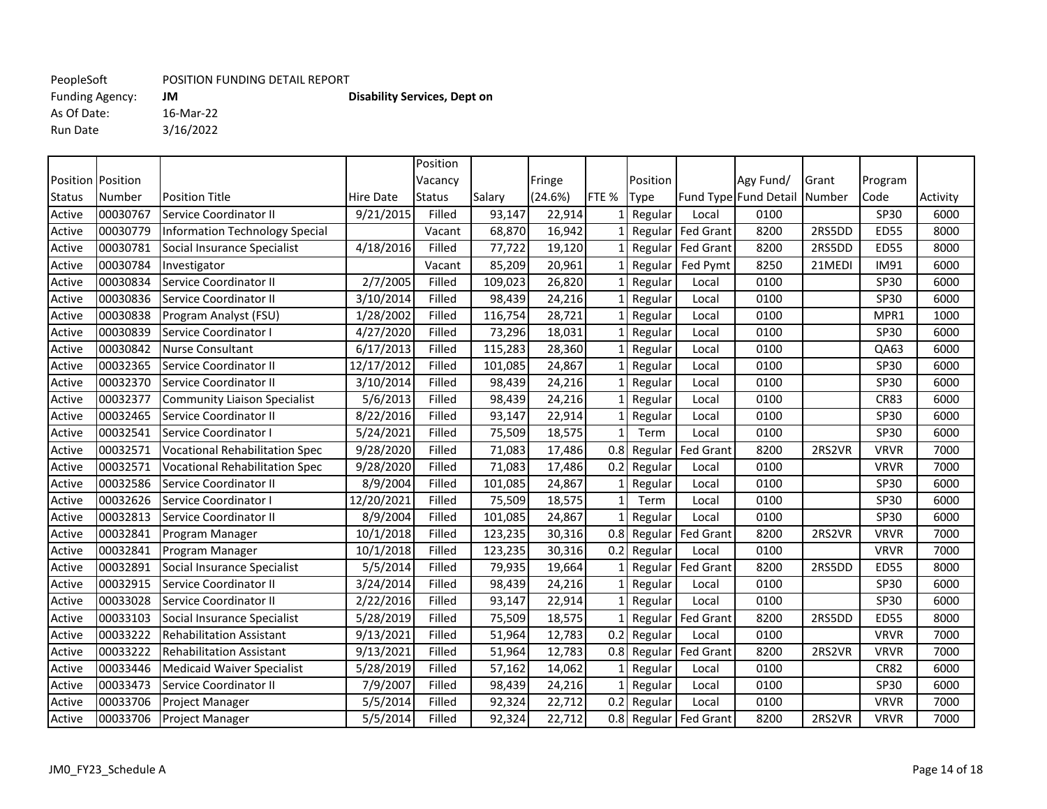As Of Date: 16-Mar-22 Run Date 3/16/2022

Funding Agency: **JM Disability Services, Dept on**

Position Position Status Number Position Title **Hire Date** Position Vacancy Status Salary Fringe (24.6%) FTE % Position Type Fund Type Fund Detail Agy Fund/ Grant Number Program Code Activity Active 00030767 Service Coordinator II | 9/21/2015 Filled | 93,147 | 22,914 | 1 Regular | Local | 0100 | | | SP30 | 6000 Active 00030779 Information Technology Special | Vacant | 68,870 | 16,942 | 1 Regular Fed Grant | 8200 | 2RS5DD | ED55 | 8000 Active 00030781 Social Insurance Specialist 4/18/2016 Filled 77,722 19,120 1 Regular Fed Grant 8200 2RS5DD ED55 8000 Active |00030784 |Investigator | Vacant | 85,209 20,961 | 1 Regular Fed Pymt | 8250 | 21MEDI | IM91 | 6000 Active 00030834 Service Coordinator II | 2/7/2005 Filled | 109,023 | 26,820 | 1 Regular | Local | 0100 | | SP30 | 6000 Active 00030836 Service Coordinator II | 3/10/2014 Filled | 98,439 24,216 | 1 Regular | Local | 0100 | | | SP30 | 6000 Active 00030838 Program Analyst (FSU) | 1/28/2002 Filled | 116,754 28,721 | 1 Regular | Local | 0100 | MPR1 | 1000 | MPR1 | 1000 Active 00030839 Service Coordinator I | 4/27/2020 Filled | 73,296 18,031 | 1 Regular Local | 0100 | | | SP30 | 6000 Active 00030842 Nurse Consultant  $(6/17/2013$  Filled 115,283 28,360 1 Regular Local 0100  $(1.6011)$  QA63 6000 Active |00032365 |Service Coordinator II | 12/17/2012 Filled | 101,085 | 24,867 | 1 Regular | Local | 0100 | | | SP30 | 6000 Active 00032370 Service Coordinator II | 3/10/2014 Filled | 98,439 24,216 | 1 Regular Local | 0100 | | | SP30 | 6000 Active 00032377 Community Liaison Specialist | 5/6/2013 Filled | 98,439 24,216 | 1 Regular | Local | 0100 | | | CR83 | 6000 Active 00032465 Service Coordinator II | 8/22/2016 Filled | 93,147 | 22,914 | 1 Regular | Local | 0100 | | | SP30 | 6000 Active |00032541 |Service Coordinator I | 5/24/2021| Filled | 75,509| 18,575| 1| Term | Local | 0100 | | SP30 | 6000 Active 100032571 Vocational Rehabilitation Spec 19/28/2020 Filled 1 71,083 17,486 0.8 Regular Fed Grant 8200 2RS2VR VRVR 1 7000 Active 100032571 Vocational Rehabilitation Spec 19/28/2020 Filled 1 71,083 17,486 0.2 Regular Local 1 0100 VRVR 1 7000 Active |00032586 |Service Coordinator II | 8/9/2004| Filled | 101,085| 24,867| 1| Regular | Local | 0100 | | | SP30 | 6000 Active |00032626 |Service Coordinator I |12/20/2021| Filled | 75,509| 18,575| 1| Term | Local | 0100 | | SP30 | 6000 Active |00032813 |Service Coordinator II | 8/9/2004| Filled | 101,085| 24,867| 1| Regular | Local | 0100 | | | SP30 | 6000 Active |00032841 |Program Manager | 10/1/2018| Filled | 123,235| 30,316| 0.8| Regular | Fed Grant | 8200 | 2RS2VR | VRVR | 7000 Active |00032841 |Program Manager | 10/1/2018 Filled | 123,235 30,316 0.2 Regular Local | 0100 | | VRVR | 7000 Active 00032891 Social Insurance Specialist 5/5/2014 Filled 79,935 19,664 1 Regular Fed Grant 8200 2RS5DD ED55 8000 Active 00032915 Service Coordinator II | 3/24/2014 Filled | 98,439 24,216 | 1 Regular Local | 0100 | | | SP30 | 6000 Active 00033028 Service Coordinator II | 2/22/2016 Filled | 93,147 | 22,914 | 1 Regular | Local | 0100 | | | SP30 | 6000 Active 00033103 Social Insurance Specialist 5/28/2019 Filled 75,509 18,575 1 Regular Fed Grant 8200 2RS5DD ED55 8000 Active 00033222 Rehabilitation Assistant (9/13/2021 Filled | 51,964 12,783 0.2 Regular Local | 0100 | | VRVR | 7000 Active (00033222 Rehabilitation Assistant | 9/13/2021 Filled | 51,964 12,783 0.8 Regular Fed Grant | 8200 | 2RS2VR | VRVR | 7000 Active 00033446 Medicaid Waiver Specialist | 5/28/2019 | Filled | 57,162 | 14,062 | 1 Regular | Local | 0100 | | | CR82 | 6000 Active 00033473 Service Coordinator II | 7/9/2007 Filled | 98,439 24,216 | 1 Regular Local | 0100 | | | SP30 | 6000 Active 00033706 Project Manager 1988 | 5/5/2014 Filled | 92,324 22,712 0.2 Regular Local | 0100 | 1990 VRVR | 7000 Active 00033706 Project Manager 5/5/2014 Filled 92,324 22,712 0.8 Regular Fed Grant 8200 2RS2VR VRVR 7000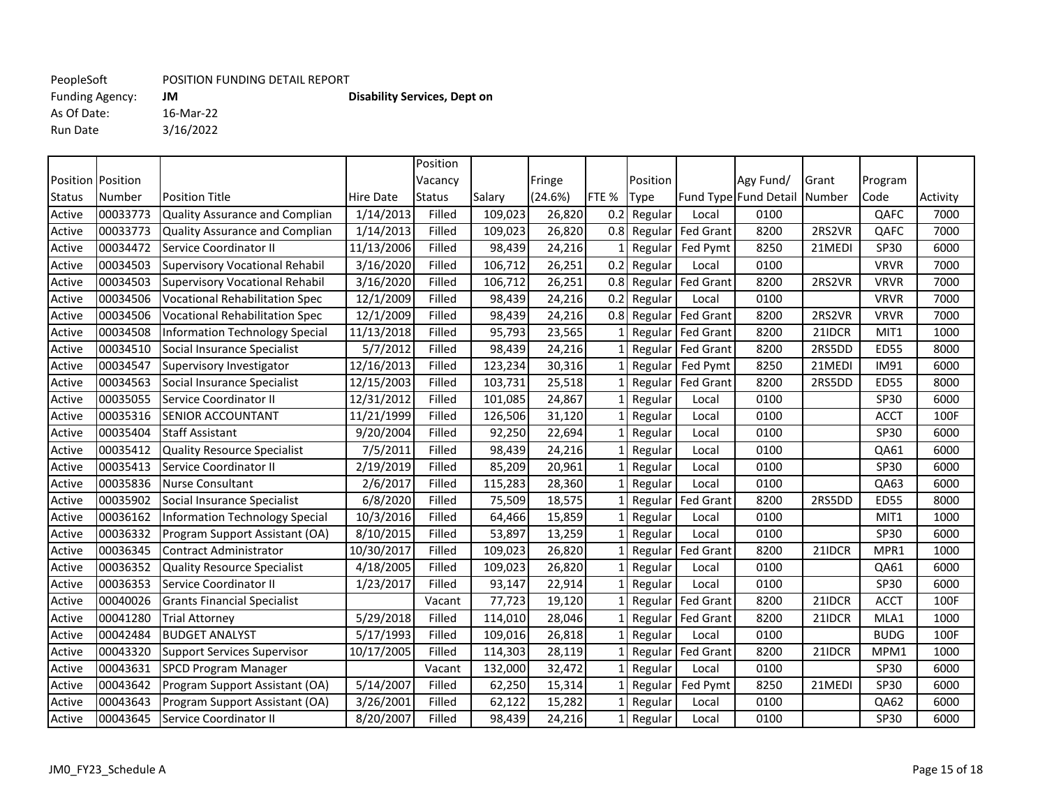As Of Date: 16-Mar-22 Run Date 3/16/2022

Funding Agency: **JM Disability Services, Dept on**

Position Position Status Number Position Title **Hire Date** Position Vacancy Status Salary Fringe (24.6%) FTE % Position Type Fund Type Fund Detail Agy Fund/ Grant Number Program Code Activity Active 00033773 Quality Assurance and Complian | 1/14/2013 | Filled | 109,023 | 26,820 | 0.2 Regular | Local | 0100 | | | QAFC | 7000 Active (00033773 |Quality Assurance and Complian | 1/14/2013 | Filled | 109,023 | 26,820 | 0.8 Regular Fed Grant | 8200 | 2RS2VR | QAFC | 7000 Active 00034472 Service Coordinator II 11/13/2006 Filled 98,439 24,216 1 Regular Fed Pymt 8250 21MEDI SP30 6000 Active 00034503 Supervisory Vocational Rehabil | 3/16/2020 | Filled | 106,712 | 26,251 | 0.2 Regular | Local | 0100 | | VRVR | 7000 Active |00034503 |Supervisory Vocational Rehabil | 3/16/2020| Filled | 106,712| 26,251| 0.8| Regular | Fed Grant | 8200 | 2RS2VR | VRVR | 7000 Active 00034506 Vocational Rehabilitation Spec | 12/1/2009 | Filled | 98,439 24,216 | 0.2 Regular Local | 0100 | | VRVR | 7000 Active |00034506 |Vocational Rehabilitation Spec | 12/1/2009 | Filled | 98,439 | 24,216 | 0.8 Regular Fed Grant | 8200 | 2RS2VR | VRVR | 7000 Active |00034508 |Information Technology Special |11/13/2018| Filled | 95,793| 23,565| 1| Regular | Fed Grant | 8200 | 21IDCR | MIT1 | 1000 Active |00034510 |Social Insurance Specialist | 5/7/2012 Filled | 98,439 24,216 | 1 Regular Fed Grant | 8200 | 2RS5DD | ED55 | 8000 Active 00034547 Supervisory Investigator 12/16/2013 Filled 123,234 30,316 1 Regular Fed Pymt 8250 21MEDI IM91 6000 Active 00034563 Social Insurance Specialist 12/15/2003 Filled 103,731 25,518 1 Regular Fed Grant 8200 2RS5DD ED55 8000 Active |00035055 |Service Coordinator II | 12/31/2012 Filled | 101,085 | 24,867 | 1 Regular | Local | 0100 | | | SP30 | 6000 Active |00035316 |SENIOR<code>ACCOUNTANT |11/21/1999</code> Filled | 126,506 31,120 | 1 Regular Local | 0100 | | | ACCT | 100F Active 00035404 Staff Assistant | 9/20/2004 Filled | 92,250 22,694 | 1 Regular | Local | 0100 | | SP30 | 6000 Active 00035412 Quality Resource Specialist 7/5/2011 Filled 98,439 24,216 1 Regular Local 0100 QA61 6000 Active 00035413 Service Coordinator II | 2/19/2019 Filled | 85,209 20,961 | 1 Regular Local | 0100 | | | SP30 | 6000 Active 00035836 Nurse Consultant 1 2/6/2017 Filled 115,283 28,360 1 Regular Local 0100 | QA63 6000 Active 00035902 Social Insurance Specialist 6/8/2020 Filled 75,509 18,575 1 Regular Fed Grant 8200 2RS5DD ED55 8000 Active 00036162 Information Technology Special | 10/3/2016 | Filled | 64,466 | 15,859 | 1 Regular | Local | 0100 | MIT1 | 1000 | MIT1 | 1000 | MIT1 | 1000 | MIT1 | 1000 | MIT1 | 1000 | MIT1 | 1000 | MIT1 | 1000 | MIT1 | 10 Active 00036332 Program Support Assistant (OA) | 8/10/2015 | Filled | 53,897 13,259 | 1 Regular Local | 0100 | SP30 | 6000 Active 00036345 Contract Administrator 10/30/2017 Filled 109,023 26,820 1 Regular Fed Grant 8200 21IDCR MPR1 1000 Active 00036352 Quality Resource Specialist | 4/18/2005 | Filled | 109,023 | 26,820 | 1 Regular | Local | 0100 | | | QA61 | 6000 Active |00036353 |Service Coordinator II | 1/23/2017| Filled | 93,147| 22,914| 1| Regular | Local | 0100 | | | SP30 | 6000 Active 100040026 Grants Financial Specialist 1 | Vacant | 77,723 19,120 1 Regular Fed Grant | 8200 | 21IDCR | ACCT | 100F Active 00041280 Trial Attorney 5/29/2018 Filled 114,010 28,046 1 Regular Fed Grant 8200 21IDCR MLA1 1000 Active |00042484 |BUDGET\_ANALYST | 5/17/1993| Filled | 109,016| 26,818| 1| Regular | Local | 0100 | | BUDG | 100F Active 00043320 Support Services Supervisor 10/17/2005 Filled 114,303 28,119 1 Regular Fed Grant 8200 21IDCR MPM1 1000 Active 00043631 SPCD Program Manager  $\vert$  Vacant 132,000 32,472 1 Regular Local 0100 set SP30 6000 Active (00043642 Program Support Assistant (OA) | 5/14/2007 | Filled | 62,250 | 15,314 | 1 Regular | Fed Pymt | 8250 | 21MEDI | SP30 | 6000 Active 00043643 Program Support Assistant (OA) | 3/26/2001 | Filled | 62,122 | 15,282 | 1 Regular | Local | 0100 | | | QA62 | 6000 Active 00043645 Service Coordinator II | 8/20/2007 Filled | 98,439 24,216 | 1 Regular | Local | 0100 | | SP30 | 6000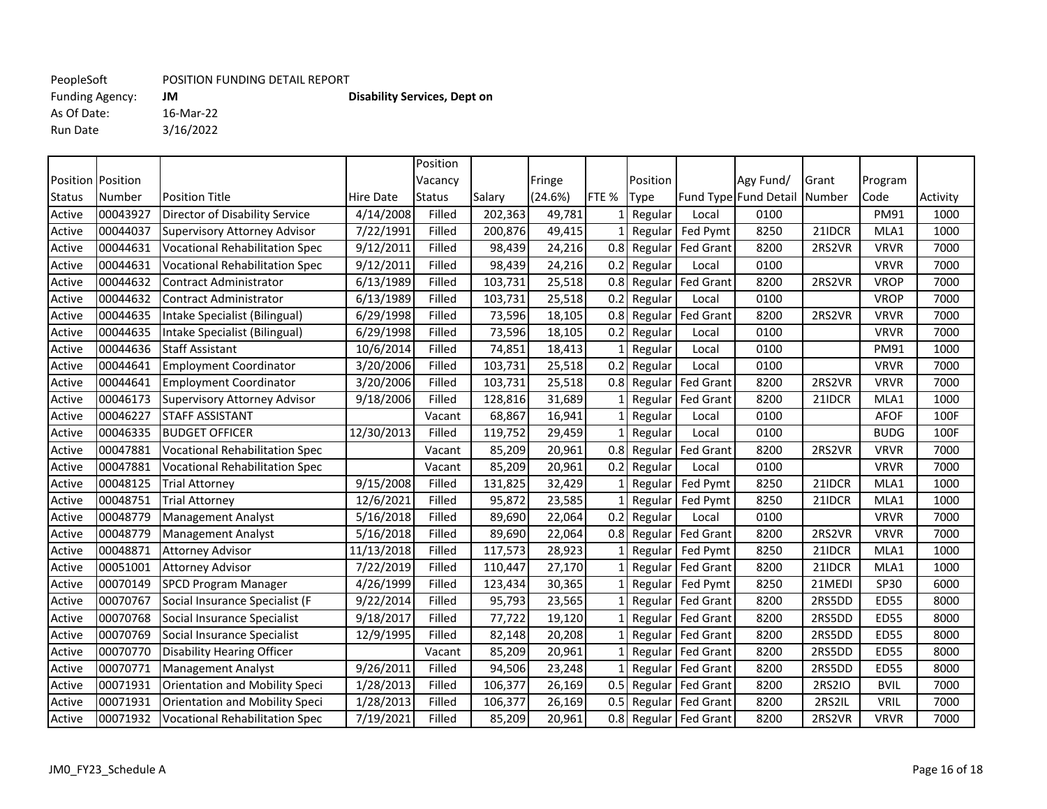As Of Date: 16-Mar-22 Run Date 3/16/2022

Funding Agency: **JM Disability Services, Dept on**

Position Position Status Number Position Title **Hire Date** Position Vacancy Status Salary Fringe (24.6%) FTE % Position Type Fund Type Fund Detail Agy Fund/ Grant Number Program Code Activity Active 00043927 Director of Disability Service 4/14/2008 Filled 202,363 49,781 1 Regular Local 0100 PM91 1000 Active 00044037 Supervisory Attorney Advisor (2021/1991 Filled 200,876 49,415 1 Regular Fed Pymt 8250 21IDCR MLA1 1000 Active 00044631 Vocational Rehabilitation Spec 9/12/2011 Filled 98,439 24,216 0.8 Regular Fed Grant 8200 2RS2VR VRVR 7000 Active 00044631 Vocational Rehabilitation Spec 9/12/2011 Filled 98,439 24,216 0.2 Regular Local 0100 VRVR 7000 Active |00044632 |Contract Administrator | 6/13/1989| Filled | 103,731| 25,518| 0.8| Regular | Fed Grant | 8200 | 2RS2VR | VROP | 7000 Active 00044632 Contract Administrator 6/13/1989 Filled 103,731 25,518 0.2 Regular Local 0100 VROP 7000 Active 00044635 Intake Specialist (Bilingual) 6/29/1998 Filled 73,596 18,105 0.8 Regular Fed Grant 8200 2RS2VR VRVR 7000 Active 00044635 Intake Specialist (Bilingual) 6/29/1998 Filled 73,596 18,105 0.2 Regular Local 0100 VRVR 7000 Active 00044636 Staff Assistant | 10/6/2014 Filled | 74,851 18,413 | 1 Regular | Local | 0100 | | PM91 | 1000 Active 00044641 Employment Coordinator (2012/2006 Filled 103,731 25,518 0.2 Regular Local 0100 VRVR 7000 VRVR 7000 Active 00044641 Employment Coordinator 3/20/2006 Filled 103,731 25,518 0.8 Regular Fed Grant 8200 2RS2VR VRVR 7000 Active 00046173 Supervisory Attorney Advisor 9/18/2006 Filled 128,816 31,689 1 Regular Fed Grant 8200 21IDCR MLA1 1000 Active |00046227 |STAFF\_ASSISTANT | Vacant | 68,867 | 16,941 | 1 Regular | Local | 0100 | | AFOF | 100F Active |00046335 |BUDGET OFFICER |12/30/2013| Filled | 119,752| 29,459| 1| Regular | Local | 0100 | | BUDG | 100F Active 100047881 Vocational Rehabilitation Spec 1 (1990) Vacant 1 85,209 20,961 0.8 Regular Fed Grant 8200 2RS2VR VRVR 7000 Active 100047881 Vocational Rehabilitation Spec 1 (1990) Vacant 1 85,209 20,961 0.2 Regular Local 1 0100 VAVR 7000 VRVR 7000 Active |00048125 |Trial Attorney | 9/15/2008| Filled | 131,825| 32,429| 1| Regular | Fed Pymt | 8250 | 21IDCR | MLA1 | 1000 Active |00048751 |Trial Attorney | 12/6/2021| Filled | 95,872| 23,585| 1| Regular | Fed Pymt | 8250 | 21IDCR | MLA1 | 1000 Active 00048779 Management Analyst  $\vert$  5/16/2018 Filled 89,690 22,064 0.2 Regular Local 0100 VRVR VRVR 7000 Active 00048779 Management Analyst 5/16/2018 Filled 89,690 22,064 0.8 Regular Fed Grant 8200 2RS2VR VRVR 7000 Active |00048871 |Attorney Advisor |11/13/2018| Filled | 117,573| 28,923| 1| Regular | Fed Pymt | 8250 | 21IDCR | MLA1 | 1000 Active 00051001 Attorney Advisor 7/22/2019 Filled 110,447 27,170 1 Regular Fed Grant 8200 21IDCR MLA1 1000 Active 00070149 SPCD Program Manager 14/26/1999 Filled 123,434 30,365 1 Regular Fed Pymt 8250 21MEDI SP30 6000 Active 00070767 Social Insurance Specialist (F 9/22/2014 Filled 95,793 23,565 1 Regular Fed Grant 8200 2RS5DD ED55 8000 Active 00070768 Social Insurance Specialist 9/18/2017 Filled 77,722 19,120 1 Regular Fed Grant 8200 2RS5DD ED55 8000 Active 00070769 Social Insurance Specialist 12/9/1995 Filled 82,148 20,208 1 Regular Fed Grant 8200 2RS5DD ED55 8000 Active 100070770 1Disability Hearing Officer  $\vert$  Vacant | 85,209 20,961 1 Regular Fed Grant 8200 2RS5DD ED55 8000 Active 00070771 | Management Analyst | 9/26/2011 | Filled | 94,506 | 23,248 | 1 Regular | Fed Grant | 8200 | 2RS5DD | ED55 | 8000 Active 00071931 Orientation and Mobility Speci 1/28/2013 Filled 106,377 26,169 0.5 Regular Fed Grant 8200 2RS2IO BVIL 7000 Active 00071931 Orientation and Mobility Speci 1/28/2013 Filled 106,377 26,169 0.5 Regular Fed Grant 8200 2RS2IL VRIL 7000 Active |00071932 |Vocational Rehabilitation Spec | 7/19/2021| Filled | 85,209| 20,961| 0.8| Regular | Fed Grant | 8200 | 2RS2VR | VRVR | 7000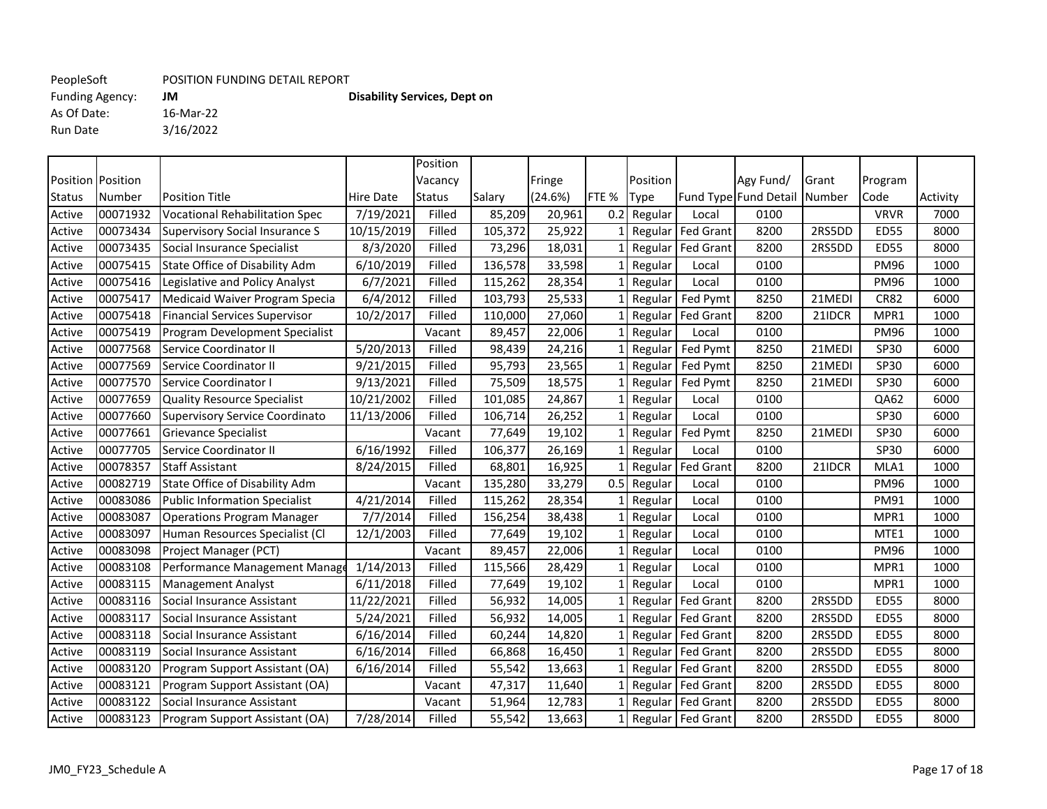As Of Date:<br>Run Date 3/16/2022

|        |                   |                                       |                  | Position      |         |         |       |             |                     |                       |        |             |          |
|--------|-------------------|---------------------------------------|------------------|---------------|---------|---------|-------|-------------|---------------------|-----------------------|--------|-------------|----------|
|        | Position Position |                                       |                  | Vacancy       |         | Fringe  |       | Position    |                     | Agy Fund/             | Grant  | Program     |          |
| Status | Number            | <b>Position Title</b>                 | <b>Hire Date</b> | <b>Status</b> | Salary  | (24.6%) | FTE % | <b>Type</b> |                     | Fund Type Fund Detail | Number | Code        | Activity |
| Active | 00071932          | <b>Vocational Rehabilitation Spec</b> | 7/19/2021        | Filled        | 85,209  | 20,961  | 0.2   | Regular     | Local               | 0100                  |        | <b>VRVR</b> | 7000     |
| Active | 00073434          | <b>Supervisory Social Insurance S</b> | 10/15/2019       | Filled        | 105,372 | 25,922  |       |             | Regular Fed Grant   | 8200                  | 2RS5DD | <b>ED55</b> | 8000     |
| Active | 00073435          | Social Insurance Specialist           | 8/3/2020         | Filled        | 73,296  | 18,031  |       |             | Regular Fed Grant   | 8200                  | 2RS5DD | <b>ED55</b> | 8000     |
| Active | 00075415          | State Office of Disability Adm        | 6/10/2019        | Filled        | 136,578 | 33,598  |       | Regular     | Local               | 0100                  |        | <b>PM96</b> | 1000     |
| Active | 00075416          | Legislative and Policy Analyst        | 6/7/2021         | Filled        | 115,262 | 28,354  |       | Regular     | Local               | 0100                  |        | <b>PM96</b> | 1000     |
| Active | 00075417          | Medicaid Waiver Program Specia        | 6/4/2012         | Filled        | 103,793 | 25,533  |       | Regular     | Fed Pymt            | 8250                  | 21MEDI | <b>CR82</b> | 6000     |
| Active | 00075418          | <b>Financial Services Supervisor</b>  | 10/2/2017        | Filled        | 110,000 | 27,060  |       | Regular     | <b>Fed Grant</b>    | 8200                  | 21IDCR | MPR1        | 1000     |
| Active | 00075419          | Program Development Specialist        |                  | Vacant        | 89,457  | 22,006  |       | Regular     | Local               | 0100                  |        | <b>PM96</b> | 1000     |
| Active | 00077568          | Service Coordinator II                | 5/20/2013        | Filled        | 98,439  | 24,216  |       | Regular     | Fed Pymt            | 8250                  | 21MEDI | SP30        | 6000     |
| Active | 00077569          | Service Coordinator II                | 9/21/2015        | Filled        | 95,793  | 23,565  |       | Regular     | Fed Pymt            | 8250                  | 21MEDI | <b>SP30</b> | 6000     |
| Active | 00077570          | Service Coordinator I                 | 9/13/2021        | Filled        | 75,509  | 18,575  |       | Regular     | Fed Pymt            | 8250                  | 21MEDI | SP30        | 6000     |
| Active | 00077659          | <b>Quality Resource Specialist</b>    | 10/21/2002       | Filled        | 101,085 | 24,867  |       | Regular     | Local               | 0100                  |        | QA62        | 6000     |
| Active | 00077660          | <b>Supervisory Service Coordinato</b> | 11/13/2006       | Filled        | 106,714 | 26,252  |       | Regular     | Local               | 0100                  |        | SP30        | 6000     |
| Active | 00077661          | <b>Grievance Specialist</b>           |                  | Vacant        | 77,649  | 19,102  |       | Regular     | Fed Pymt            | 8250                  | 21MEDI | <b>SP30</b> | 6000     |
| Active | 00077705          | Service Coordinator II                | 6/16/1992        | Filled        | 106,377 | 26,169  |       | Regular     | Local               | 0100                  |        | <b>SP30</b> | 6000     |
| Active | 00078357          | <b>Staff Assistant</b>                | 8/24/2015        | Filled        | 68,801  | 16,925  |       | Regular     | Fed Grant           | 8200                  | 21IDCR | MLA1        | 1000     |
| Active | 00082719          | <b>State Office of Disability Adm</b> |                  | Vacant        | 135,280 | 33,279  | 0.5   | Regular     | Local               | 0100                  |        | <b>PM96</b> | 1000     |
| Active | 00083086          | <b>Public Information Specialist</b>  | 4/21/2014        | Filled        | 115,262 | 28,354  |       | Regular     | Local               | 0100                  |        | <b>PM91</b> | 1000     |
| Active | 00083087          | <b>Operations Program Manager</b>     | 7/7/2014         | Filled        | 156,254 | 38,438  |       | Regular     | Local               | 0100                  |        | MPR1        | 1000     |
| Active | 00083097          | Human Resources Specialist (Cl        | 12/1/2003        | Filled        | 77,649  | 19,102  |       | Regular     | Local               | 0100                  |        | MTE1        | 1000     |
| Active | 00083098          | Project Manager (PCT)                 |                  | Vacant        | 89,457  | 22,006  |       | Regular     | Local               | 0100                  |        | <b>PM96</b> | 1000     |
| Active | 00083108          | Performance Management Manage         | 1/14/2013        | Filled        | 115,566 | 28,429  |       | Regular     | Local               | 0100                  |        | MPR1        | 1000     |
| Active | 00083115          | <b>Management Analyst</b>             | 6/11/2018        | Filled        | 77,649  | 19,102  |       | Regular     | Local               | 0100                  |        | MPR1        | 1000     |
| Active | 00083116          | Social Insurance Assistant            | 11/22/2021       | Filled        | 56,932  | 14,005  |       | Regular     | <b>Fed Grant</b>    | 8200                  | 2RS5DD | <b>ED55</b> | 8000     |
| Active | 00083117          | Social Insurance Assistant            | 5/24/2021        | Filled        | 56,932  | 14,005  |       | Regular     | <b>Fed Grant</b>    | 8200                  | 2RS5DD | <b>ED55</b> | 8000     |
| Active | 00083118          | Social Insurance Assistant            | 6/16/2014        | Filled        | 60,244  | 14,820  |       |             | Regular Fed Grant   | 8200                  | 2RS5DD | <b>ED55</b> | 8000     |
| Active | 00083119          | Social Insurance Assistant            | 6/16/2014        | Filled        | 66,868  | 16,450  |       |             | Regular   Fed Grant | 8200                  | 2RS5DD | <b>ED55</b> | 8000     |
| Active | 00083120          | Program Support Assistant (OA)        | 6/16/2014        | Filled        | 55,542  | 13,663  |       |             | Regular Fed Grant   | 8200                  | 2RS5DD | <b>ED55</b> | 8000     |
| Active | 00083121          | Program Support Assistant (OA)        |                  | Vacant        | 47,317  | 11,640  |       |             | Regular Fed Grant   | 8200                  | 2RS5DD | <b>ED55</b> | 8000     |
| Active | 00083122          | Social Insurance Assistant            |                  | Vacant        | 51,964  | 12,783  |       |             | Regular Fed Grant   | 8200                  | 2RS5DD | <b>ED55</b> | 8000     |
| Active | 00083123          | Program Support Assistant (OA)        | 7/28/2014        | Filled        | 55,542  | 13,663  |       |             | Regular Fed Grant   | 8200                  | 2RS5DD | <b>ED55</b> | 8000     |